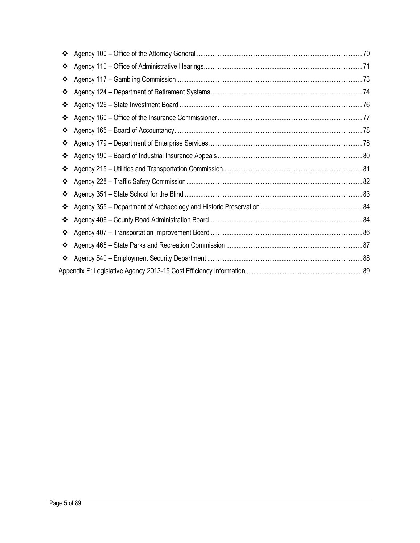| ❖ |  |
|---|--|
| ❖ |  |
| ❖ |  |
| ❖ |  |
| ❖ |  |
| ❖ |  |
| ❖ |  |
| ❖ |  |
| ❖ |  |
| ❖ |  |
| ❖ |  |
| ❖ |  |
| ❖ |  |
| ❖ |  |
| ❖ |  |
| ❖ |  |
| ❖ |  |
|   |  |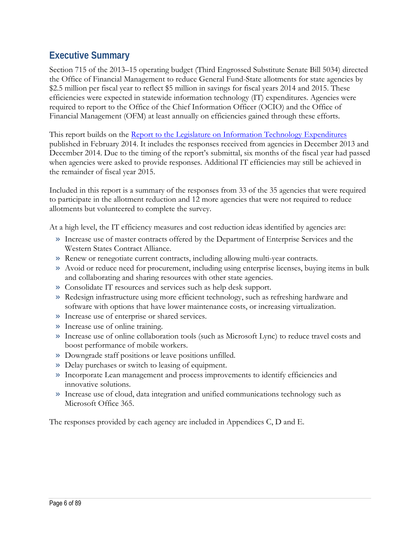# **Executive Summary**

Section 715 of the 2013–15 operating budget (Third Engrossed Substitute Senate Bill 5034) directed the Office of Financial Management to reduce General Fund-State allotments for state agencies by \$2.5 million per fiscal year to reflect \$5 million in savings for fiscal years 2014 and 2015. These efficiencies were expected in statewide information technology (IT) expenditures. Agencies were required to report to the Office of the Chief Information Officer (OCIO) and the Office of Financial Management (OFM) at least annually on efficiencies gained through these efforts.

This report builds on the [Report to the Legislature on Information Technology Expenditures](http://www.ofm.wa.gov/reports/IT_expenditures.pdf) published in February 2014. It includes the responses received from agencies in December 2013 and December 2014. Due to the timing of the report's submittal, six months of the fiscal year had passed when agencies were asked to provide responses. Additional IT efficiencies may still be achieved in the remainder of fiscal year 2015.

Included in this report is a summary of the responses from 33 of the 35 agencies that were required to participate in the allotment reduction and 12 more agencies that were not required to reduce allotments but volunteered to complete the survey.

At a high level, the IT efficiency measures and cost reduction ideas identified by agencies are:

- » Increase use of master contracts offered by the Department of Enterprise Services and the Western States Contract Alliance.
- » Renew or renegotiate current contracts, including allowing multi-year contracts.
- » Avoid or reduce need for procurement, including using enterprise licenses, buying items in bulk and collaborating and sharing resources with other state agencies.
- » Consolidate IT resources and services such as help desk support.
- » Redesign infrastructure using more efficient technology, such as refreshing hardware and software with options that have lower maintenance costs, or increasing virtualization.
- » Increase use of enterprise or shared services.
- » Increase use of online training.
- » Increase use of online collaboration tools (such as Microsoft Lync) to reduce travel costs and boost performance of mobile workers.
- » Downgrade staff positions or leave positions unfilled.
- » Delay purchases or switch to leasing of equipment.
- » Incorporate Lean management and process improvements to identify efficiencies and innovative solutions.
- » Increase use of cloud, data integration and unified communications technology such as Microsoft Office 365.

The responses provided by each agency are included in Appendices C, D and E.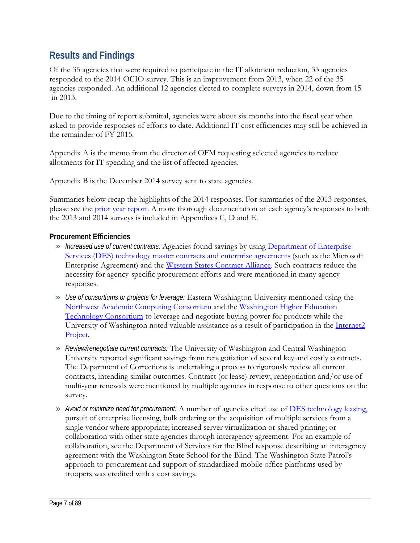# **Results and Findings**

Of the 35 agencies that were required to participate in the IT allotment reduction, 33 agencies responded to the 2014 OCIO survey. This is an improvement from 2013, when 22 of the 35 agencies responded. An additional 12 agencies elected to complete surveys in 2014, down from 15 in 2013.

Due to the timing of report submittal, agencies were about six months into the fiscal year when asked to provide responses of efforts to date. Additional IT cost efficiencies may have been achieved in the remainder of FY 2015.

Appendix A is the memo from the director of OFM requesting selected agencies to reduce allotments for IT spending and the list of affected agencies.

Appendix B is the December 2014 survey sent to state agencies.

Summaries below recap the highlights of the 2014 responses. For summaries of the 2013 responses, please see the [prior year report.](http://www.ofm.wa.gov/reports/IT_expenditures.pdf) A more thorough documentation of each agency's responses to both the 2013 and 2014 surveys is included in Appendices C, D and E.

# **Procurement Efficiencies**

- » *Increased use of current contracts:* Agencies found savings by using [Department of Enterprise](http://des.wa.gov/services/IT/ITContracts/ITMasterContract/Pages/default.aspx)  [Services \(DES\) technology master contracts and enterprise agreements](http://des.wa.gov/services/IT/ITContracts/ITMasterContract/Pages/default.aspx) (such as the Microsoft Enterprise Agreement) and the [Western States Contract Alliance.](http://www.aboutwsca.org/content.cfm/id/WSCA) Such contracts reduce the necessity for agency-specific procurement efforts and were mentioned in many agency responses.
- » *Use of consortiums or projects for leverage:* Eastern Washington University mentioned using the [Northwest Academic Computing Consortium](http://www.nwacc.org/) and the [Washington Higher Education](http://councilofpresidents.org/whetc/main.html)  [Technology Consortium](http://councilofpresidents.org/whetc/main.html) to leverage and negotiate buying power for products while the University of Washington noted valuable assistance as a result of participation in the Internet2 [Project.](http://www.internet2.edu/)
- » *Review/renegotiate current contracts:* The University of Washington and Central Washington University reported significant savings from renegotiation of several key and costly contracts. The Department of Corrections is undertaking a process to rigorously review all current contracts, intending similar outcomes. Contract (or lease) review, renegotiation and/or use of multi-year renewals were mentioned by multiple agencies in response to other questions on the survey.
- » *Avoid or minimize need for procurement:* A number of agencies cited use of [DES technology leasing,](http://des.wa.gov/services/IT/ITContracts/Pages/Technology-Leasing.aspx) pursuit of enterprise licensing, bulk ordering or the acquisition of multiple services from a single vendor where appropriate; increased server virtualization or shared printing; or collaboration with other state agencies through interagency agreement. For an example of collaboration, see the Department of Services for the Blind response describing an interagency agreement with the Washington State School for the Blind. The Washington State Patrol's approach to procurement and support of standardized mobile office platforms used by troopers was credited with a cost savings.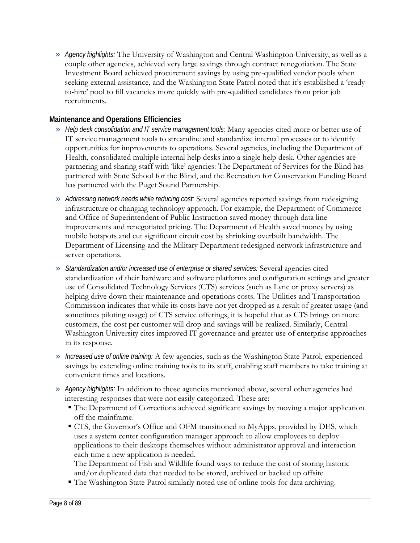» *Agency highlights:* The University of Washington and Central Washington University, as well as a couple other agencies, achieved very large savings through contract renegotiation. The State Investment Board achieved procurement savings by using pre-qualified vendor pools when seeking external assistance, and the Washington State Patrol noted that it's established a 'readyto-hire' pool to fill vacancies more quickly with pre-qualified candidates from prior job recruitments.

# **Maintenance and Operations Efficiencies**

- » *Help desk consolidation and IT service management tools:* Many agencies cited more or better use of IT service management tools to streamline and standardize internal processes or to identify opportunities for improvements to operations. Several agencies, including the Department of Health, consolidated multiple internal help desks into a single help desk. Other agencies are partnering and sharing staff with 'like' agencies: The Department of Services for the Blind has partnered with State School for the Blind, and the Recreation for Conservation Funding Board has partnered with the Puget Sound Partnership.
- » *Addressing network needs while reducing cost:* Several agencies reported savings from redesigning infrastructure or changing technology approach. For example, the Department of Commerce and Office of Superintendent of Public Instruction saved money through data line improvements and renegotiated pricing. The Department of Health saved money by using mobile hotspots and cut significant circuit cost by shrinking overbuilt bandwidth. The Department of Licensing and the Military Department redesigned network infrastructure and server operations.
- » *Standardization and/or increased use of enterprise or shared services:* Several agencies cited standardization of their hardware and software platforms and configuration settings and greater use of Consolidated Technology Services (CTS) services (such as Lync or proxy servers) as helping drive down their maintenance and operations costs. The Utilities and Transportation Commission indicates that while its costs have not yet dropped as a result of greater usage (and sometimes piloting usage) of CTS service offerings, it is hopeful that as CTS brings on more customers, the cost per customer will drop and savings will be realized. Similarly, Central Washington University cites improved IT governance and greater use of enterprise approaches in its response.
- » *Increased use of online training:* A few agencies, such as the Washington State Patrol, experienced savings by extending online training tools to its staff, enabling staff members to take training at convenient times and locations.
- » *Agency highlights:* In addition to those agencies mentioned above, several other agencies had interesting responses that were not easily categorized. These are:
	- The Department of Corrections achieved significant savings by moving a major application off the mainframe.
	- CTS, the Governor's Office and OFM transitioned to MyApps, provided by DES, which uses a system center configuration manager approach to allow employees to deploy applications to their desktops themselves without administrator approval and interaction each time a new application is needed.

The Department of Fish and Wildlife found ways to reduce the cost of storing historic and/or duplicated data that needed to be stored, archived or backed up offsite.

The Washington State Patrol similarly noted use of online tools for data archiving.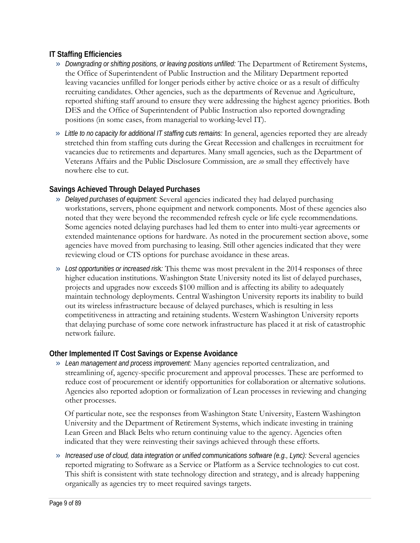# **IT Staffing Efficiencies**

- » *Downgrading or shifting positions, or leaving positions unfilled:* The Department of Retirement Systems, the Office of Superintendent of Public Instruction and the Military Department reported leaving vacancies unfilled for longer periods either by active choice or as a result of difficulty recruiting candidates. Other agencies, such as the departments of Revenue and Agriculture, reported shifting staff around to ensure they were addressing the highest agency priorities. Both DES and the Office of Superintendent of Public Instruction also reported downgrading positions (in some cases, from managerial to working-level IT).
- » *Little to no capacity for additional IT staffing cuts remains:* In general, agencies reported they are already stretched thin from staffing cuts during the Great Recession and challenges in recruitment for vacancies due to retirements and departures. Many small agencies, such as the Department of Veterans Affairs and the Public Disclosure Commission, are *so* small they effectively have nowhere else to cut.

# **Savings Achieved Through Delayed Purchases**

- » *Delayed purchases of equipment:* Several agencies indicated they had delayed purchasing workstations, servers, phone equipment and network components. Most of these agencies also noted that they were beyond the recommended refresh cycle or life cycle recommendations. Some agencies noted delaying purchases had led them to enter into multi-year agreements or extended maintenance options for hardware. As noted in the procurement section above, some agencies have moved from purchasing to leasing. Still other agencies indicated that they were reviewing cloud or CTS options for purchase avoidance in these areas.
- » *Lost opportunities or increased ris*k*:* This theme was most prevalent in the 2014 responses of three higher education institutions. Washington State University noted its list of delayed purchases, projects and upgrades now exceeds \$100 million and is affecting its ability to adequately maintain technology deployments. Central Washington University reports its inability to build out its wireless infrastructure because of delayed purchases, which is resulting in less competitiveness in attracting and retaining students. Western Washington University reports that delaying purchase of some core network infrastructure has placed it at risk of catastrophic network failure.

# **Other Implemented IT Cost Savings or Expense Avoidance**

» *Lean management and process improvement:* Many agencies reported centralization, and streamlining of, agency-specific procurement and approval processes. These are performed to reduce cost of procurement or identify opportunities for collaboration or alternative solutions. Agencies also reported adoption or formalization of Lean processes in reviewing and changing other processes.

Of particular note, see the responses from Washington State University, Eastern Washington University and the Department of Retirement Systems, which indicate investing in training Lean Green and Black Belts who return continuing value to the agency. Agencies often indicated that they were reinvesting their savings achieved through these efforts.

» *Increased use of cloud, data integration or unified communications software (e.g., Lync):* Several agencies reported migrating to Software as a Service or Platform as a Service technologies to cut cost. This shift is consistent with state technology direction and strategy, and is already happening organically as agencies try to meet required savings targets.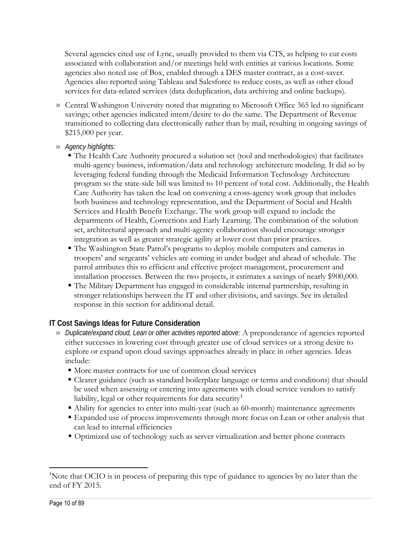Several agencies cited use of Lync, usually provided to them via CTS, as helping to cut costs associated with collaboration and/or meetings held with entities at various locations. Some agencies also noted use of Box, enabled through a DES master contract, as a cost-saver. Agencies also reported using Tableau and Salesforce to reduce costs, as well as other cloud services for data-related services (data deduplication, data archiving and online backups).

- » Central Washington University noted that migrating to Microsoft Office 365 led to significant savings; other agencies indicated intent/desire to do the same. The Department of Revenue transitioned to collecting data electronically rather than by mail, resulting in ongoing savings of \$215,000 per year.
- » *Agency highlights:*
	- The Health Care Authority procured a solution set (tool and methodologies) that facilitates multi-agency business, information/data and technology architecture modeling. It did so by leveraging federal funding through the Medicaid Information Technology Architecture program so the state-side bill was limited to 10 percent of total cost. Additionally, the Health Care Authority has taken the lead on convening a cross-agency work group that includes both business and technology representation, and the Department of Social and Health Services and Health Benefit Exchange. The work group will expand to include the departments of Health, Corrections and Early Learning. The combination of the solution set, architectural approach and multi-agency collaboration should encourage stronger integration as well as greater strategic agility at lower cost than prior practices.
	- The Washington State Patrol's programs to deploy mobile computers and cameras in troopers' and sergeants' vehicles are coming in under budget and ahead of schedule. The patrol attributes this to efficient and effective project management, procurement and installation processes. Between the two projects, it estimates a savings of nearly \$900,000.
	- The Military Department has engaged in considerable internal partnership, resulting in stronger relationships between the IT and other divisions, and savings. See its detailed response in this section for additional detail.

# **IT Cost Savings Ideas for Future Consideration**

- » *Duplicate/expand cloud, Lean or other activities reported above:* A preponderance of agencies reported either successes in lowering cost through greater use of cloud services or a strong desire to explore or expand upon cloud savings approaches already in place in other agencies. Ideas include:
	- $\blacksquare$  More master contracts for use of common cloud services
	- Clearer guidance (such as standard boilerplate language or terms and conditions) that should be used when assessing or entering into agreements with cloud service vendors to satisfy liability, legal or other requirements for data security<sup>[1](#page-9-0)</sup>
	- Ability for agencies to enter into multi-year (such as 60-month) maintenance agreements
	- Expanded use of process improvements through more focus on Lean or other analysis that can lead to internal efficiencies
	- Optimized use of technology such as server virtualization and better phone contracts

 $\overline{\phantom{a}}$ 

<span id="page-9-0"></span><sup>&</sup>lt;sup>1</sup>Note that OCIO is in process of preparing this type of guidance to agencies by no later than the end of FY 2015.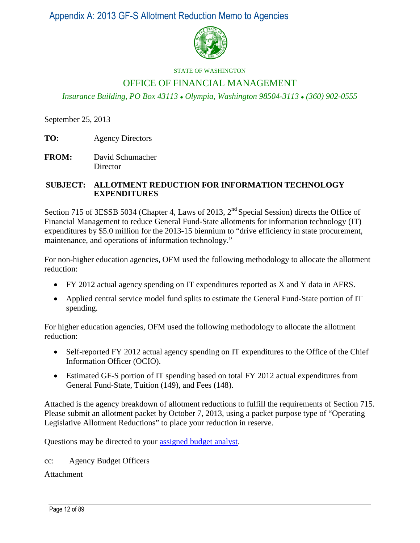Appendix A: 2013 GF-S Allotment Reduction Memo to Agencies



#### STATE OF WASHINGTON

# OFFICE OF FINANCIAL MANAGEMENT

*Insurance Building, PO Box 43113 Olympia, Washington 98504-3113 (360) 902-0555*

September 25, 2013

- **TO:** Agency Directors
- **FROM:** David Schumacher Director

### **SUBJECT: ALLOTMENT REDUCTION FOR INFORMATION TECHNOLOGY EXPENDITURES**

Section 715 of 3ESSB 5034 (Chapter 4, Laws of 2013,  $2<sup>nd</sup>$  Special Session) directs the Office of Financial Management to reduce General Fund-State allotments for information technology (IT) expenditures by \$5.0 million for the 2013-15 biennium to "drive efficiency in state procurement, maintenance, and operations of information technology."

For non-higher education agencies, OFM used the following methodology to allocate the allotment reduction:

- FY 2012 actual agency spending on IT expenditures reported as X and Y data in AFRS.
- Applied central service model fund splits to estimate the General Fund-State portion of IT spending.

For higher education agencies, OFM used the following methodology to allocate the allotment reduction:

- Self-reported FY 2012 actual agency spending on IT expenditures to the Office of the Chief Information Officer (OCIO).
- Estimated GF-S portion of IT spending based on total FY 2012 actual expenditures from General Fund-State, Tuition (149), and Fees (148).

Attached is the agency breakdown of allotment reductions to fulfill the requirements of Section 715. Please submit an allotment packet by October 7, 2013, using a packet purpose type of "Operating Legislative Allotment Reductions" to place your reduction in reserve.

Questions may be directed to your [assigned budget analyst.](http://ofm.wa.gov/budget/contacts/default.asp)

cc: Agency Budget Officers

Attachment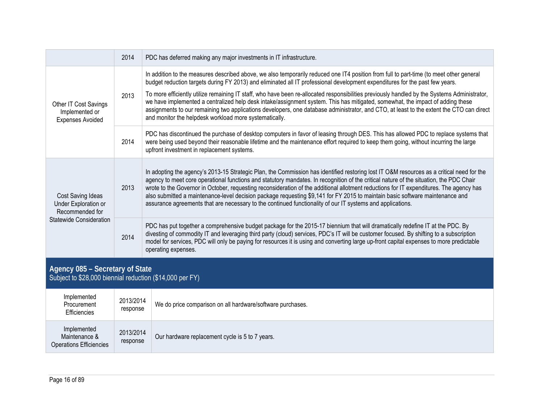|                                                                                             | 2014 | PDC has deferred making any major investments in IT infrastructure.                                                                                                                                                                                                                                                                                                                                                                                                                                                                                                                                                                                                                                                                                             |
|---------------------------------------------------------------------------------------------|------|-----------------------------------------------------------------------------------------------------------------------------------------------------------------------------------------------------------------------------------------------------------------------------------------------------------------------------------------------------------------------------------------------------------------------------------------------------------------------------------------------------------------------------------------------------------------------------------------------------------------------------------------------------------------------------------------------------------------------------------------------------------------|
| Other IT Cost Savings<br>Implemented or<br><b>Expenses Avoided</b>                          | 2013 | In addition to the measures described above, we also temporarily reduced one IT4 position from full to part-time (to meet other general<br>budget reduction targets during FY 2013) and eliminated all IT professional development expenditures for the past few years.<br>To more efficiently utilize remaining IT staff, who have been re-allocated responsibilities previously handled by the Systems Administrator,<br>we have implemented a centralized help desk intake/assignment system. This has mitigated, somewhat, the impact of adding these<br>assignments to our remaining two applications developers, one database administrator, and CTO, at least to the extent the CTO can direct<br>and monitor the helpdesk workload more systematically. |
|                                                                                             | 2014 | PDC has discontinued the purchase of desktop computers in favor of leasing through DES. This has allowed PDC to replace systems that<br>were being used beyond their reasonable lifetime and the maintenance effort required to keep them going, without incurring the large<br>upfront investment in replacement systems.                                                                                                                                                                                                                                                                                                                                                                                                                                      |
| Cost Saving Ideas<br>Under Exploration or<br>Recommended for                                | 2013 | In adopting the agency's 2013-15 Strategic Plan, the Commission has identified restoring lost IT O&M resources as a critical need for the<br>agency to meet core operational functions and statutory mandates. In recognition of the critical nature of the situation, the PDC Chair<br>wrote to the Governor in October, requesting reconsideration of the additional allotment reductions for IT expenditures. The agency has<br>also submitted a maintenance-level decision package requesting \$9,141 for FY 2015 to maintain basic software maintenance and<br>assurance agreements that are necessary to the continued functionality of our IT systems and applications.                                                                                  |
| <b>Statewide Consideration</b>                                                              | 2014 | PDC has put together a comprehensive budget package for the 2015-17 biennium that will dramatically redefine IT at the PDC. By<br>divesting of commodity IT and leveraging third party (cloud) services, PDC's IT will be customer focused. By shifting to a subscription<br>model for services, PDC will only be paying for resources it is using and converting large up-front capital expenses to more predictable<br>operating expenses.                                                                                                                                                                                                                                                                                                                    |
| Agency 085 - Secretary of State<br>Subject to \$28,000 biennial reduction (\$14,000 per FY) |      |                                                                                                                                                                                                                                                                                                                                                                                                                                                                                                                                                                                                                                                                                                                                                                 |
|                                                                                             |      |                                                                                                                                                                                                                                                                                                                                                                                                                                                                                                                                                                                                                                                                                                                                                                 |

| Implemented<br>Procurement<br>Efficiencies                     | 2013/2014<br>response | We do price comparison on all hardware/software purchases. |
|----------------------------------------------------------------|-----------------------|------------------------------------------------------------|
| Implemented<br>Maintenance &<br><b>Operations Efficiencies</b> | 2013/2014<br>response | Our hardware replacement cycle is 5 to 7 years.            |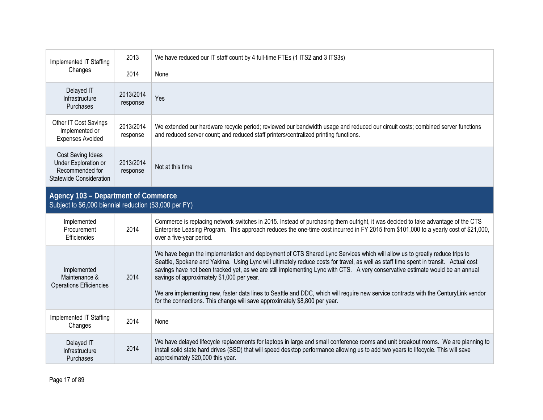| Implemented IT Staffing                                                                        | 2013                  | We have reduced our IT staff count by 4 full-time FTEs (1 ITS2 and 3 ITS3s)                                                                                                                                                                                                                                                                                                                                                                                                                                                                                                                                                                                             |
|------------------------------------------------------------------------------------------------|-----------------------|-------------------------------------------------------------------------------------------------------------------------------------------------------------------------------------------------------------------------------------------------------------------------------------------------------------------------------------------------------------------------------------------------------------------------------------------------------------------------------------------------------------------------------------------------------------------------------------------------------------------------------------------------------------------------|
| Changes                                                                                        | 2014                  | None                                                                                                                                                                                                                                                                                                                                                                                                                                                                                                                                                                                                                                                                    |
| Delayed IT<br>Infrastructure<br>Purchases                                                      | 2013/2014<br>response | Yes                                                                                                                                                                                                                                                                                                                                                                                                                                                                                                                                                                                                                                                                     |
| <b>Other IT Cost Savings</b><br>Implemented or<br><b>Expenses Avoided</b>                      | 2013/2014<br>response | We extended our hardware recycle period; reviewed our bandwidth usage and reduced our circuit costs; combined server functions<br>and reduced server count; and reduced staff printers/centralized printing functions.                                                                                                                                                                                                                                                                                                                                                                                                                                                  |
| Cost Saving Ideas<br>Under Exploration or<br>Recommended for<br><b>Statewide Consideration</b> | 2013/2014<br>response | Not at this time                                                                                                                                                                                                                                                                                                                                                                                                                                                                                                                                                                                                                                                        |
| Agency 103 - Department of Commerce<br>Subject to \$6,000 biennial reduction (\$3,000 per FY)  |                       |                                                                                                                                                                                                                                                                                                                                                                                                                                                                                                                                                                                                                                                                         |
| Implemented<br>Procurement<br>Efficiencies                                                     | 2014                  | Commerce is replacing network switches in 2015. Instead of purchasing them outright, it was decided to take advantage of the CTS<br>Enterprise Leasing Program. This approach reduces the one-time cost incurred in FY 2015 from \$101,000 to a yearly cost of \$21,000,<br>over a five-year period.                                                                                                                                                                                                                                                                                                                                                                    |
| Implemented<br>Maintenance &<br><b>Operations Efficiencies</b>                                 | 2014                  | We have begun the implementation and deployment of CTS Shared Lync Services which will allow us to greatly reduce trips to<br>Seattle, Spokane and Yakima. Using Lync will ultimately reduce costs for travel, as well as staff time spent in transit. Actual cost<br>savings have not been tracked yet, as we are still implementing Lync with CTS. A very conservative estimate would be an annual<br>savings of approximately \$1,000 per year.<br>We are implementing new, faster data lines to Seattle and DDC, which will require new service contracts with the CenturyLink vendor<br>for the connections. This change will save approximately \$8,800 per year. |
| Implemented IT Staffing<br>Changes                                                             | 2014                  | None                                                                                                                                                                                                                                                                                                                                                                                                                                                                                                                                                                                                                                                                    |
| Delayed IT<br>Infrastructure<br>Purchases                                                      | 2014                  | We have delayed lifecycle replacements for laptops in large and small conference rooms and unit breakout rooms. We are planning to<br>install solid state hard drives (SSD) that will speed desktop performance allowing us to add two years to lifecycle. This will save<br>approximately \$20,000 this year.                                                                                                                                                                                                                                                                                                                                                          |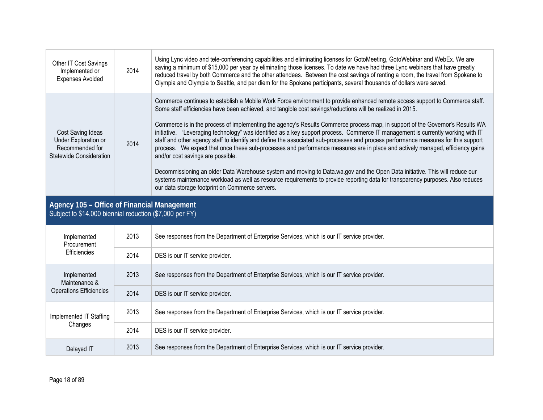| Other IT Cost Savings<br>Implemented or<br><b>Expenses Avoided</b>                                     | 2014 | Using Lync video and tele-conferencing capabilities and eliminating licenses for GotoMeeting, GotoWebinar and WebEx. We are<br>saving a minimum of \$15,000 per year by eliminating those licenses. To date we have had three Lync webinars that have greatly<br>reduced travel by both Commerce and the other attendees. Between the cost savings of renting a room, the travel from Spokane to<br>Olympia and Olympia to Seattle, and per diem for the Spokane participants, several thousands of dollars were saved.                                                                                                                                                                                                                                                                                                                                                                                                                                                                                                                                                                                                                          |  |  |
|--------------------------------------------------------------------------------------------------------|------|--------------------------------------------------------------------------------------------------------------------------------------------------------------------------------------------------------------------------------------------------------------------------------------------------------------------------------------------------------------------------------------------------------------------------------------------------------------------------------------------------------------------------------------------------------------------------------------------------------------------------------------------------------------------------------------------------------------------------------------------------------------------------------------------------------------------------------------------------------------------------------------------------------------------------------------------------------------------------------------------------------------------------------------------------------------------------------------------------------------------------------------------------|--|--|
| Cost Saving Ideas<br>Under Exploration or<br>Recommended for<br>Statewide Consideration                | 2014 | Commerce continues to establish a Mobile Work Force environment to provide enhanced remote access support to Commerce staff.<br>Some staff efficiencies have been achieved, and tangible cost savings/reductions will be realized in 2015.<br>Commerce is in the process of implementing the agency's Results Commerce process map, in support of the Governor's Results WA<br>initiative. "Leveraging technology" was identified as a key support process. Commerce IT management is currently working with IT<br>staff and other agency staff to identify and define the associated sub-processes and process performance measures for this support<br>process. We expect that once these sub-processes and performance measures are in place and actively managed, efficiency gains<br>and/or cost savings are possible.<br>Decommissioning an older Data Warehouse system and moving to Data.wa.gov and the Open Data initiative. This will reduce our<br>systems maintenance workload as well as resource requirements to provide reporting data for transparency purposes. Also reduces<br>our data storage footprint on Commerce servers. |  |  |
| Agency 105 - Office of Financial Management<br>Subject to \$14,000 biennial reduction (\$7,000 per FY) |      |                                                                                                                                                                                                                                                                                                                                                                                                                                                                                                                                                                                                                                                                                                                                                                                                                                                                                                                                                                                                                                                                                                                                                  |  |  |
|                                                                                                        |      |                                                                                                                                                                                                                                                                                                                                                                                                                                                                                                                                                                                                                                                                                                                                                                                                                                                                                                                                                                                                                                                                                                                                                  |  |  |
| Implemented<br>Procurement                                                                             | 2013 | See responses from the Department of Enterprise Services, which is our IT service provider.                                                                                                                                                                                                                                                                                                                                                                                                                                                                                                                                                                                                                                                                                                                                                                                                                                                                                                                                                                                                                                                      |  |  |
| Efficiencies                                                                                           | 2014 | DES is our IT service provider.                                                                                                                                                                                                                                                                                                                                                                                                                                                                                                                                                                                                                                                                                                                                                                                                                                                                                                                                                                                                                                                                                                                  |  |  |
| Implemented                                                                                            | 2013 | See responses from the Department of Enterprise Services, which is our IT service provider.                                                                                                                                                                                                                                                                                                                                                                                                                                                                                                                                                                                                                                                                                                                                                                                                                                                                                                                                                                                                                                                      |  |  |
| Maintenance &<br><b>Operations Efficiencies</b>                                                        | 2014 | DES is our IT service provider.                                                                                                                                                                                                                                                                                                                                                                                                                                                                                                                                                                                                                                                                                                                                                                                                                                                                                                                                                                                                                                                                                                                  |  |  |
| Implemented IT Staffing                                                                                | 2013 | See responses from the Department of Enterprise Services, which is our IT service provider.                                                                                                                                                                                                                                                                                                                                                                                                                                                                                                                                                                                                                                                                                                                                                                                                                                                                                                                                                                                                                                                      |  |  |
| Changes                                                                                                | 2014 | DES is our IT service provider.                                                                                                                                                                                                                                                                                                                                                                                                                                                                                                                                                                                                                                                                                                                                                                                                                                                                                                                                                                                                                                                                                                                  |  |  |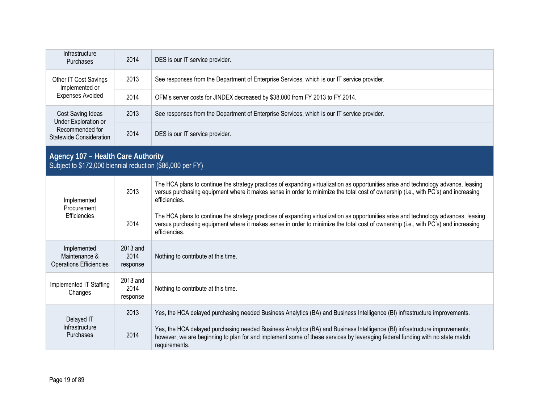| Infrastructure<br>Purchases                                                                     | 2014                         | DES is our IT service provider.                                                                                                                                                                                                                                                             |
|-------------------------------------------------------------------------------------------------|------------------------------|---------------------------------------------------------------------------------------------------------------------------------------------------------------------------------------------------------------------------------------------------------------------------------------------|
| Other IT Cost Savings<br>Implemented or                                                         | 2013                         | See responses from the Department of Enterprise Services, which is our IT service provider.                                                                                                                                                                                                 |
| <b>Expenses Avoided</b>                                                                         | 2014                         | OFM's server costs for JINDEX decreased by \$38,000 from FY 2013 to FY 2014.                                                                                                                                                                                                                |
| <b>Cost Saving Ideas</b><br>Under Exploration or                                                | 2013                         | See responses from the Department of Enterprise Services, which is our IT service provider.                                                                                                                                                                                                 |
| Recommended for<br><b>Statewide Consideration</b>                                               | 2014                         | DES is our IT service provider.                                                                                                                                                                                                                                                             |
| Agency 107 - Health Care Authority<br>Subject to \$172,000 biennial reduction (\$86,000 per FY) |                              |                                                                                                                                                                                                                                                                                             |
| Implemented<br>Procurement                                                                      | 2013                         | The HCA plans to continue the strategy practices of expanding virtualization as opportunities arise and technology advance, leasing<br>versus purchasing equipment where it makes sense in order to minimize the total cost of ownership (i.e., with PC's) and increasing<br>efficiencies.  |
| Efficiencies                                                                                    | 2014                         | The HCA plans to continue the strategy practices of expanding virtualization as opportunities arise and technology advances, leasing<br>versus purchasing equipment where it makes sense in order to minimize the total cost of ownership (i.e., with PC's) and increasing<br>efficiencies. |
| Implemented<br>Maintenance &<br><b>Operations Efficiencies</b>                                  | 2013 and<br>2014<br>response | Nothing to contribute at this time.                                                                                                                                                                                                                                                         |
| Implemented IT Staffing<br>Changes                                                              | 2013 and<br>2014<br>response | Nothing to contribute at this time.                                                                                                                                                                                                                                                         |
| Delayed IT                                                                                      | 2013                         | Yes, the HCA delayed purchasing needed Business Analytics (BA) and Business Intelligence (BI) infrastructure improvements.                                                                                                                                                                  |
| Infrastructure<br>Purchases                                                                     | 2014                         | Yes, the HCA delayed purchasing needed Business Analytics (BA) and Business Intelligence (BI) infrastructure improvements;<br>however, we are beginning to plan for and implement some of these services by leveraging federal funding with no state match<br>requirements.                 |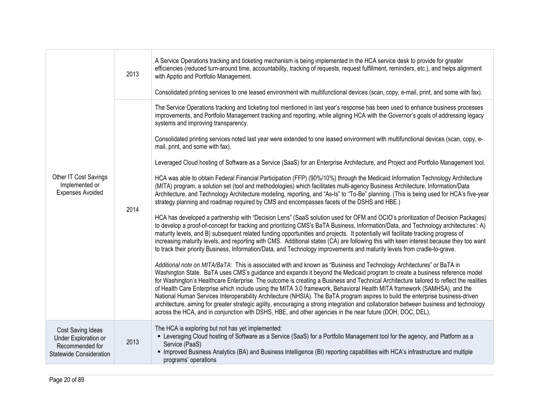|                                                                                                | 2013 | A Service Operations tracking and ticketing mechanism is being implemented in the HCA service desk to provide for greater<br>efficiencies (reduced turn-around time, accountability, tracking of requests, request fulfillment, reminders, etc.), and helps alignment<br>with Apptio and Portfolio Management.<br>Consolidated printing services to one leased environment with multifunctional devices (scan, copy, e-mail, print, and some with fax).                                                                                                                                                                                                                                                                                                                                                                                                                                                              |
|------------------------------------------------------------------------------------------------|------|----------------------------------------------------------------------------------------------------------------------------------------------------------------------------------------------------------------------------------------------------------------------------------------------------------------------------------------------------------------------------------------------------------------------------------------------------------------------------------------------------------------------------------------------------------------------------------------------------------------------------------------------------------------------------------------------------------------------------------------------------------------------------------------------------------------------------------------------------------------------------------------------------------------------|
|                                                                                                |      | The Service Operations tracking and ticketing tool mentioned in last year's response has been used to enhance business processes<br>improvements, and Portfolio Management tracking and reporting, while aligning HCA with the Governor's goals of addressing legacy<br>systems and improving transparency.                                                                                                                                                                                                                                                                                                                                                                                                                                                                                                                                                                                                          |
|                                                                                                |      | Consolidated printing services noted last year were extended to one leased environment with multifunctional devices (scan, copy, e-<br>mail, print, and some with fax).                                                                                                                                                                                                                                                                                                                                                                                                                                                                                                                                                                                                                                                                                                                                              |
|                                                                                                |      | Leveraged Cloud hosting of Software as a Service (SaaS) for an Enterprise Architecture, and Project and Portfolio Management tool.                                                                                                                                                                                                                                                                                                                                                                                                                                                                                                                                                                                                                                                                                                                                                                                   |
| Other IT Cost Savings<br>Implemented or<br><b>Expenses Avoided</b>                             | 2014 | HCA was able to obtain Federal Financial Participation (FFP) (90%/10%) through the Medicaid Information Technology Architecture<br>(MITA) program, a solution set (tool and methodologies) which facilitates multi-agency Business Architecture, Information/Data<br>Architecture, and Technology Architecture modeling, reporting, and "As-Is" to "To-Be" planning. (This is being used for HCA's five-year<br>strategy planning and roadmap required by CMS and encompasses facets of the DSHS and HBE.)                                                                                                                                                                                                                                                                                                                                                                                                           |
|                                                                                                |      | HCA has developed a partnership with "Decision Lens" (SaaS solution used for OFM and OCIO's prioritization of Decision Packages)<br>to develop a proof-of-concept for tracking and prioritizing CMS's BaTA Business, Information/Data, and Technology architectures': A)<br>maturity levels, and B) subsequent related funding opportunities and projects. It potentially will facilitate tracking progress of<br>increasing maturity levels, and reporting with CMS. Additional states (CA) are following this with keen interest because they too want<br>to track their priority Business, Information/Data, and Technology improvements and maturity levels from cradle-to-grave.                                                                                                                                                                                                                                |
|                                                                                                |      | Additional note on MITA/BaTA: This is associated with and known as "Business and Technology Architectures" or BaTA in<br>Washington State. BaTA uses CMS's guidance and expands it beyond the Medicaid program to create a business reference model<br>for Washington's Healthcare Enterprise. The outcome is creating a Business and Technical Architecture tailored to reflect the realities<br>of Health Care Enterprise which include using the MITA 3.0 framework, Behavioral Health MITA framework (SAMHSA), and the<br>National Human Services Interoperability Architecture (NHSIA). The BaTA program aspires to build the enterprise business-driven<br>architecture, aiming for greater strategic agility, encouraging a strong integration and collaboration between business and technology<br>across the HCA, and in conjunction with DSHS, HBE, and other agencies in the near future (DOH, DOC, DEL). |
| Cost Saving Ideas<br>Under Exploration or<br>Recommended for<br><b>Statewide Consideration</b> | 2013 | The HCA is exploring but not has yet implemented:<br>" Leveraging Cloud hosting of Software as a Service (SaaS) for a Portfolio Management tool for the agency, and Platform as a<br>Service (PaaS)<br>• Improved Business Analytics (BA) and Business Intelligence (BI) reporting capabilities with HCA's infrastructure and multiple<br>programs' operations                                                                                                                                                                                                                                                                                                                                                                                                                                                                                                                                                       |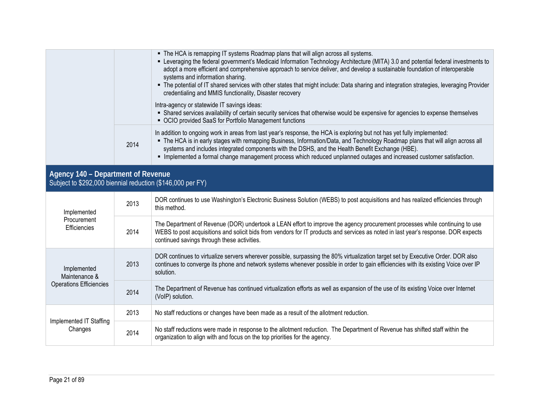|                                                                                                  |      | • The HCA is remapping IT systems Roadmap plans that will align across all systems.<br>- Leveraging the federal government's Medicaid Information Technology Architecture (MITA) 3.0 and potential federal investments to<br>adopt a more efficient and comprehensive approach to service deliver, and develop a sustainable foundation of interoperable<br>systems and information sharing.<br>• The potential of IT shared services with other states that might include: Data sharing and integration strategies, leveraging Provider<br>credentialing and MMIS functionality, Disaster recovery |
|--------------------------------------------------------------------------------------------------|------|-----------------------------------------------------------------------------------------------------------------------------------------------------------------------------------------------------------------------------------------------------------------------------------------------------------------------------------------------------------------------------------------------------------------------------------------------------------------------------------------------------------------------------------------------------------------------------------------------------|
|                                                                                                  |      | Intra-agency or statewide IT savings ideas:<br>- Shared services availability of certain security services that otherwise would be expensive for agencies to expense themselves<br>• OCIO provided SaaS for Portfolio Management functions                                                                                                                                                                                                                                                                                                                                                          |
|                                                                                                  | 2014 | In addition to ongoing work in areas from last year's response, the HCA is exploring but not has yet fully implemented:<br>" The HCA is in early stages with remapping Business, Information/Data, and Technology Roadmap plans that will align across all<br>systems and includes integrated components with the DSHS, and the Health Benefit Exchange (HBE).<br>" Implemented a formal change management process which reduced unplanned outages and increased customer satisfaction.                                                                                                             |
| Agency 140 - Department of Revenue<br>Subject to \$292,000 biennial reduction (\$146,000 per FY) |      |                                                                                                                                                                                                                                                                                                                                                                                                                                                                                                                                                                                                     |
| Implemented                                                                                      | 2013 | DOR continues to use Washington's Electronic Business Solution (WEBS) to post acquisitions and has realized efficiencies through<br>this method.                                                                                                                                                                                                                                                                                                                                                                                                                                                    |
| Procurement<br>Efficiencies                                                                      | 2014 | The Department of Revenue (DOR) undertook a LEAN effort to improve the agency procurement processes while continuing to use<br>WEBS to post acquisitions and solicit bids from vendors for IT products and services as noted in last year's response. DOR expects<br>continued savings through these activities.                                                                                                                                                                                                                                                                                    |
| Implemented<br>Maintenance &<br><b>Operations Efficiencies</b>                                   | 2013 | DOR continues to virtualize servers wherever possible, surpassing the 80% virtualization target set by Executive Order. DOR also<br>continues to converge its phone and network systems whenever possible in order to gain efficiencies with its existing Voice over IP<br>solution.                                                                                                                                                                                                                                                                                                                |
|                                                                                                  |      | The Department of Devenue has continued virtualization offerts as well as sympatrics of the use of its synthese Valor synculational                                                                                                                                                                                                                                                                                                                                                                                                                                                                 |

2014 The Department of Revenue has continued virtualization efforts as well as expansion of the use of its existing Voice over Internet (VoIP) solution. Implemented IT Staffing Changes 2013 | No staff reductions or changes have been made as a result of the allotment reduction. 2014 No staff reductions were made in response to the allotment reduction. The Department of Revenue has shifted staff within the <br>| organization to align with and focus on the top priorities for the agency.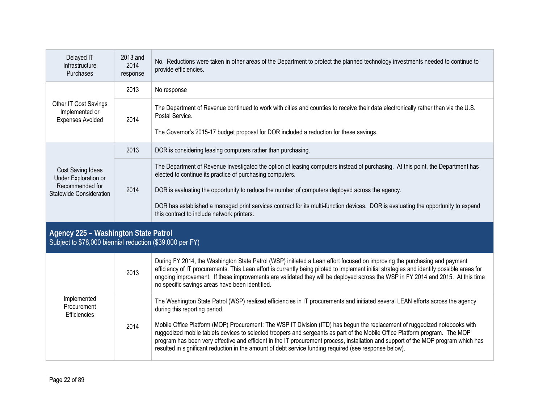| Delayed IT<br>Infrastructure<br><b>Purchases</b>                                        | 2013 and<br>2014<br>response | No. Reductions were taken in other areas of the Department to protect the planned technology investments needed to continue to<br>provide efficiencies.                                                                                                                                                                                                                                                                                                                            |
|-----------------------------------------------------------------------------------------|------------------------------|------------------------------------------------------------------------------------------------------------------------------------------------------------------------------------------------------------------------------------------------------------------------------------------------------------------------------------------------------------------------------------------------------------------------------------------------------------------------------------|
|                                                                                         | 2013                         | No response                                                                                                                                                                                                                                                                                                                                                                                                                                                                        |
| Other IT Cost Savings<br>Implemented or<br><b>Expenses Avoided</b>                      | 2014                         | The Department of Revenue continued to work with cities and counties to receive their data electronically rather than via the U.S.<br>Postal Service.<br>The Governor's 2015-17 budget proposal for DOR included a reduction for these savings.                                                                                                                                                                                                                                    |
|                                                                                         | 2013                         | DOR is considering leasing computers rather than purchasing.                                                                                                                                                                                                                                                                                                                                                                                                                       |
| Cost Saving Ideas<br>Under Exploration or<br>Recommended for<br>Statewide Consideration | 2014                         | The Department of Revenue investigated the option of leasing computers instead of purchasing. At this point, the Department has<br>elected to continue its practice of purchasing computers.<br>DOR is evaluating the opportunity to reduce the number of computers deployed across the agency.<br>DOR has established a managed print services contract for its multi-function devices. DOR is evaluating the opportunity to expand<br>this contract to include network printers. |

### **Agency 225 – Washington State Patrol**  Subject to \$78,000 biennial reduction (\$39,000 per FY)

|                                            | 2013 | During FY 2014, the Washington State Patrol (WSP) initiated a Lean effort focused on improving the purchasing and payment<br>efficiency of IT procurements. This Lean effort is currently being piloted to implement initial strategies and identify possible areas for<br>ongoing improvement. If these improvements are validated they will be deployed across the WSP in FY 2014 and 2015. At this time<br>no specific savings areas have been identified.                                             |
|--------------------------------------------|------|-----------------------------------------------------------------------------------------------------------------------------------------------------------------------------------------------------------------------------------------------------------------------------------------------------------------------------------------------------------------------------------------------------------------------------------------------------------------------------------------------------------|
| Implemented<br>Procurement<br>Efficiencies |      | The Washington State Patrol (WSP) realized efficiencies in IT procurements and initiated several LEAN efforts across the agency<br>during this reporting period.                                                                                                                                                                                                                                                                                                                                          |
|                                            | 2014 | Mobile Office Platform (MOP) Procurement: The WSP IT Division (ITD) has begun the replacement of ruggedized notebooks with<br>ruggedized mobile tablets devices to selected troopers and sergeants as part of the Mobile Office Platform program. The MOP<br>program has been very effective and efficient in the IT procurement process, installation and support of the MOP program which has<br>resulted in significant reduction in the amount of debt service funding required (see response below). |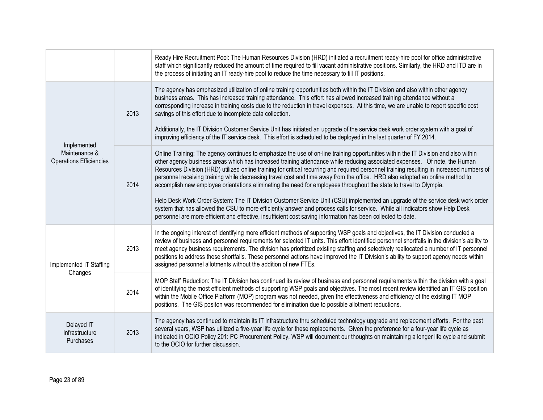|                                                 |      | Ready Hire Recruitment Pool: The Human Resources Division (HRD) initiated a recruitment ready-hire pool for office administrative<br>staff which significantly reduced the amount of time required to fill vacant administrative positions. Similarly, the HRD and ITD are in<br>the process of initiating an IT ready-hire pool to reduce the time necessary to fill IT positions.                                                                                                                                                                                                                                                                                    |
|-------------------------------------------------|------|------------------------------------------------------------------------------------------------------------------------------------------------------------------------------------------------------------------------------------------------------------------------------------------------------------------------------------------------------------------------------------------------------------------------------------------------------------------------------------------------------------------------------------------------------------------------------------------------------------------------------------------------------------------------|
|                                                 | 2013 | The agency has emphasized utilization of online training opportunities both within the IT Division and also within other agency<br>business areas. This has increased training attendance. This effort has allowed increased training attendance without a<br>corresponding increase in training costs due to the reduction in travel expenses. At this time, we are unable to report specific cost<br>savings of this effort due to incomplete data collection.<br>Additionally, the IT Division Customer Service Unit has initiated an upgrade of the service desk work order system with a goal of                                                                  |
| Implemented                                     |      | improving efficiency of the IT service desk. This effort is scheduled to be deployed in the last quarter of FY 2014.                                                                                                                                                                                                                                                                                                                                                                                                                                                                                                                                                   |
| Maintenance &<br><b>Operations Efficiencies</b> | 2014 | Online Training: The agency continues to emphasize the use of on-line training opportunities within the IT Division and also within<br>other agency business areas which has increased training attendance while reducing associated expenses. Of note, the Human<br>Resources Division (HRD) utilized online training for critical recurring and required personnel training resulting in increased numbers of<br>personnel receiving training while decreasing travel cost and time away from the office. HRD also adopted an online method to<br>accomplish new employee orientations eliminating the need for employees throughout the state to travel to Olympia. |
|                                                 |      | Help Desk Work Order System: The IT Division Customer Service Unit (CSU) implemented an upgrade of the service desk work order<br>system that has allowed the CSU to more efficiently answer and process calls for service. While all indicators show Help Desk<br>personnel are more efficient and effective, insufficient cost saving information has been collected to date.                                                                                                                                                                                                                                                                                        |
| Implemented IT Staffing                         | 2013 | In the ongoing interest of identifying more efficient methods of supporting WSP goals and objectives, the IT Division conducted a<br>review of business and personnel requirements for selected IT units. This effort identified personnel shortfalls in the division's ability to<br>meet agency business requirements. The division has prioritized existing staffing and selectively reallocated a number of IT personnel<br>positions to address these shortfalls. These personnel actions have improved the IT Division's ability to support agency needs within<br>assigned personnel allotments without the addition of new FTEs.                               |
| Changes                                         | 2014 | MOP Staff Reduction: The IT Division has continued its review of business and personnel requirements within the division with a goal<br>of identifying the most efficient methods of supporting WSP goals and objectives. The most recent review identified an IT GIS position<br>within the Mobile Office Platform (MOP) program was not needed, given the effectiveness and efficiency of the existing IT MOP<br>positions. The GIS positon was recommended for elimination due to possible allotment reductions.                                                                                                                                                    |
| Delayed IT<br>Infrastructure<br>Purchases       | 2013 | The agency has continued to maintain its IT infrastructure thru scheduled technology upgrade and replacement efforts. For the past<br>several years, WSP has utilized a five-year life cycle for these replacements. Given the preference for a four-year life cycle as<br>indicated in OCIO Policy 201: PC Procurement Policy, WSP will document our thoughts on maintaining a longer life cycle and submit<br>to the OCIO for further discussion.                                                                                                                                                                                                                    |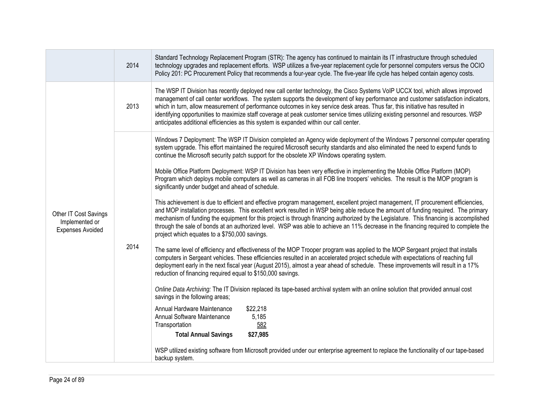|                                                                    | 2014 | Standard Technology Replacement Program (STR): The agency has continued to maintain its IT infrastructure through scheduled<br>technology upgrades and replacement efforts. WSP utilizes a five-year replacement cycle for personnel computers versus the OCIO<br>Policy 201: PC Procurement Policy that recommends a four-year cycle. The five-year life cycle has helped contain agency costs.                                                                                                                                                                                                                                                                                                                                                                                                                                                                                                                                                                                                                                                                                                                                                                                                                                                                                                                                                                                                                                                                                                                                                                                                                                                                                                                                                                                                                                                                                                                                                                                                                                                                                                                                                                                                                                                                    |
|--------------------------------------------------------------------|------|---------------------------------------------------------------------------------------------------------------------------------------------------------------------------------------------------------------------------------------------------------------------------------------------------------------------------------------------------------------------------------------------------------------------------------------------------------------------------------------------------------------------------------------------------------------------------------------------------------------------------------------------------------------------------------------------------------------------------------------------------------------------------------------------------------------------------------------------------------------------------------------------------------------------------------------------------------------------------------------------------------------------------------------------------------------------------------------------------------------------------------------------------------------------------------------------------------------------------------------------------------------------------------------------------------------------------------------------------------------------------------------------------------------------------------------------------------------------------------------------------------------------------------------------------------------------------------------------------------------------------------------------------------------------------------------------------------------------------------------------------------------------------------------------------------------------------------------------------------------------------------------------------------------------------------------------------------------------------------------------------------------------------------------------------------------------------------------------------------------------------------------------------------------------------------------------------------------------------------------------------------------------|
|                                                                    | 2013 | The WSP IT Division has recently deployed new call center technology, the Cisco Systems VoIP UCCX tool, which allows improved<br>management of call center workflows. The system supports the development of key performance and customer satisfaction indicators,<br>which in turn, allow measurement of performance outcomes in key service desk areas. Thus far, this initiative has resulted in<br>identifying opportunities to maximize staff coverage at peak customer service times utilizing existing personnel and resources. WSP<br>anticipates additional efficiencies as this system is expanded within our call center.                                                                                                                                                                                                                                                                                                                                                                                                                                                                                                                                                                                                                                                                                                                                                                                                                                                                                                                                                                                                                                                                                                                                                                                                                                                                                                                                                                                                                                                                                                                                                                                                                                |
| Other IT Cost Savings<br>Implemented or<br><b>Expenses Avoided</b> | 2014 | Windows 7 Deployment: The WSP IT Division completed an Agency wide deployment of the Windows 7 personnel computer operating<br>system upgrade. This effort maintained the required Microsoft security standards and also eliminated the need to expend funds to<br>continue the Microsoft security patch support for the obsolete XP Windows operating system.<br>Mobile Office Platform Deployment: WSP IT Division has been very effective in implementing the Mobile Office Platform (MOP)<br>Program which deploys mobile computers as well as cameras in all FOB line troopers' vehicles. The result is the MOP program is<br>significantly under budget and ahead of schedule.<br>This achievement is due to efficient and effective program management, excellent project management, IT procurement efficiencies,<br>and MOP installation processes. This excellent work resulted in WSP being able reduce the amount of funding required. The primary<br>mechanism of funding the equipment for this project is through financing authorized by the Legislature. This financing is accomplished<br>through the sale of bonds at an authorized level. WSP was able to achieve an 11% decrease in the financing required to complete the<br>project which equates to a \$750,000 savings.<br>The same level of efficiency and effectiveness of the MOP Trooper program was applied to the MOP Sergeant project that installs<br>computers in Sergeant vehicles. These efficiencies resulted in an accelerated project schedule with expectations of reaching full<br>deployment early in the next fiscal year (August 2015), almost a year ahead of schedule. These improvements will result in a 17%<br>reduction of financing required equal to \$150,000 savings.<br>Online Data Archiving: The IT Division replaced its tape-based archival system with an online solution that provided annual cost<br>savings in the following areas;<br>Annual Hardware Maintenance<br>\$22,218<br>5,185<br>Annual Software Maintenance<br>582<br>Transportation<br><b>Total Annual Savings</b><br>\$27,985<br>WSP utilized existing software from Microsoft provided under our enterprise agreement to replace the functionality of our tape-based<br>backup system. |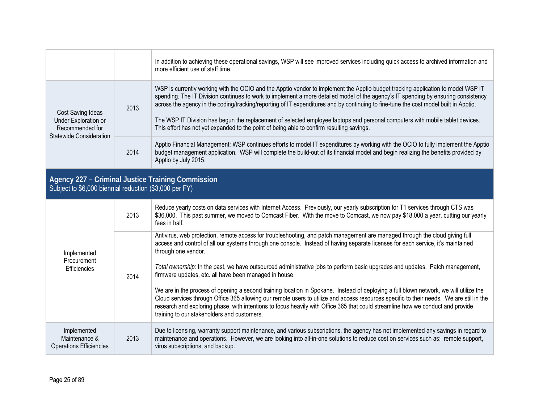|                                                                                         |      | In addition to achieving these operational savings, WSP will see improved services including quick access to archived information and<br>more efficient use of staff time.                                                                                                                                                                                                                                                                                                                                                                                                                                                                   |
|-----------------------------------------------------------------------------------------|------|----------------------------------------------------------------------------------------------------------------------------------------------------------------------------------------------------------------------------------------------------------------------------------------------------------------------------------------------------------------------------------------------------------------------------------------------------------------------------------------------------------------------------------------------------------------------------------------------------------------------------------------------|
| Cost Saving Ideas<br>Under Exploration or<br>Recommended for<br>Statewide Consideration | 2013 | WSP is currently working with the OCIO and the Apptio vendor to implement the Apptio budget tracking application to model WSP IT<br>spending. The IT Division continues to work to implement a more detailed model of the agency's IT spending by ensuring consistency<br>across the agency in the coding/tracking/reporting of IT expenditures and by continuing to fine-tune the cost model built in Apptio.<br>The WSP IT Division has begun the replacement of selected employee laptops and personal computers with mobile tablet devices.<br>This effort has not yet expanded to the point of being able to confirm resulting savings. |
|                                                                                         | 2014 | Apptio Financial Management: WSP continues efforts to model IT expenditures by working with the OCIO to fully implement the Apptio<br>budget management application. WSP will complete the build-out of its financial model and begin realizing the benefits provided by<br>Apptio by July 2015.                                                                                                                                                                                                                                                                                                                                             |

# **Agency 227 – Criminal Justice Training Commission**  Subject to \$6,000 biennial reduction (\$3,000 per FY)

| Implemented<br>Procurement<br>Efficiencies                     | 2013 | Reduce yearly costs on data services with Internet Access. Previously, our yearly subscription for T1 services through CTS was<br>\$36,000. This past summer, we moved to Comcast Fiber. With the move to Comcast, we now pay \$18,000 a year, cutting our yearly<br>fees in half.                                                                                                                                                                                   |
|----------------------------------------------------------------|------|----------------------------------------------------------------------------------------------------------------------------------------------------------------------------------------------------------------------------------------------------------------------------------------------------------------------------------------------------------------------------------------------------------------------------------------------------------------------|
|                                                                | 2014 | Antivirus, web protection, remote access for troubleshooting, and patch management are managed through the cloud giving full<br>access and control of all our systems through one console. Instead of having separate licenses for each service, it's maintained<br>through one vendor.                                                                                                                                                                              |
|                                                                |      | Total ownership: In the past, we have outsourced administrative jobs to perform basic upgrades and updates. Patch management,<br>firmware updates, etc. all have been managed in house.                                                                                                                                                                                                                                                                              |
|                                                                |      | We are in the process of opening a second training location in Spokane. Instead of deploying a full blown network, we will utilize the<br>Cloud services through Office 365 allowing our remote users to utilize and access resources specific to their needs. We are still in the<br>research and exploring phase, with intentions to focus heavily with Office 365 that could streamline how we conduct and provide<br>training to our stakeholders and customers. |
| Implemented<br>Maintenance &<br><b>Operations Efficiencies</b> | 2013 | Due to licensing, warranty support maintenance, and various subscriptions, the agency has not implemented any savings in regard to<br>maintenance and operations. However, we are looking into all-in-one solutions to reduce cost on services such as: remote support,<br>virus subscriptions, and backup.                                                                                                                                                          |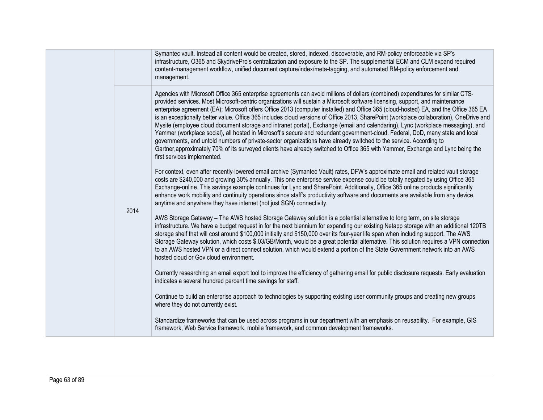|  |      | Symantec vault. Instead all content would be created, stored, indexed, discoverable, and RM-policy enforceable via SP's<br>infrastructure, O365 and SkydrivePro's centralization and exposure to the SP. The supplemental ECM and CLM expand required<br>content-management workflow, unified document capture/index/meta-tagging, and automated RM-policy enforcement and<br>management.                                                                                                                                                                                                                                                                                                                                                                                                                                                                                                                                                                                                                                                                                                                        |
|--|------|------------------------------------------------------------------------------------------------------------------------------------------------------------------------------------------------------------------------------------------------------------------------------------------------------------------------------------------------------------------------------------------------------------------------------------------------------------------------------------------------------------------------------------------------------------------------------------------------------------------------------------------------------------------------------------------------------------------------------------------------------------------------------------------------------------------------------------------------------------------------------------------------------------------------------------------------------------------------------------------------------------------------------------------------------------------------------------------------------------------|
|  | 2014 | Agencies with Microsoft Office 365 enterprise agreements can avoid millions of dollars (combined) expenditures for similar CTS-<br>provided services. Most Microsoft-centric organizations will sustain a Microsoft software licensing, support, and maintenance<br>enterprise agreement (EA); Microsoft offers Office 2013 (computer installed) and Office 365 (cloud-hosted) EA, and the Office 365 EA<br>is an exceptionally better value. Office 365 includes cloud versions of Office 2013, SharePoint (workplace collaboration), OneDrive and<br>Mysite (employee cloud document storage and intranet portal), Exchange (email and calendaring), Lync (workplace messaging), and<br>Yammer (workplace social), all hosted in Microsoft's secure and redundant government-cloud. Federal, DoD, many state and local<br>governments, and untold numbers of private-sector organizations have already switched to the service. According to<br>Gartner, approximately 70% of its surveyed clients have already switched to Office 365 with Yammer, Exchange and Lync being the<br>first services implemented. |
|  |      | For context, even after recently-lowered email archive (Symantec Vault) rates, DFW's approximate email and related vault storage<br>costs are \$240,000 and growing 30% annually. This one enterprise service expense could be totally negated by using Office 365<br>Exchange-online. This savings example continues for Lync and SharePoint. Additionally, Office 365 online products significantly<br>enhance work mobility and continuity operations since staff's productivity software and documents are available from any device,<br>anytime and anywhere they have internet (not just SGN) connectivity.                                                                                                                                                                                                                                                                                                                                                                                                                                                                                                |
|  |      | AWS Storage Gateway - The AWS hosted Storage Gateway solution is a potential alternative to long term, on site storage<br>infrastructure. We have a budget request in for the next biennium for expanding our existing Netapp storage with an additional 120TB<br>storage shelf that will cost around \$100,000 initially and \$150,000 over its four-year life span when including support. The AWS<br>Storage Gateway solution, which costs \$.03/GB/Month, would be a great potential alternative. This solution requires a VPN connection<br>to an AWS hosted VPN or a direct connect solution, which would extend a portion of the State Government network into an AWS<br>hosted cloud or Gov cloud environment.                                                                                                                                                                                                                                                                                                                                                                                           |
|  |      | Currently researching an email export tool to improve the efficiency of gathering email for public disclosure requests. Early evaluation<br>indicates a several hundred percent time savings for staff.                                                                                                                                                                                                                                                                                                                                                                                                                                                                                                                                                                                                                                                                                                                                                                                                                                                                                                          |
|  |      | Continue to build an enterprise approach to technologies by supporting existing user community groups and creating new groups<br>where they do not currently exist.                                                                                                                                                                                                                                                                                                                                                                                                                                                                                                                                                                                                                                                                                                                                                                                                                                                                                                                                              |
|  |      | Standardize frameworks that can be used across programs in our department with an emphasis on reusability. For example, GIS<br>framework, Web Service framework, mobile framework, and common development frameworks.                                                                                                                                                                                                                                                                                                                                                                                                                                                                                                                                                                                                                                                                                                                                                                                                                                                                                            |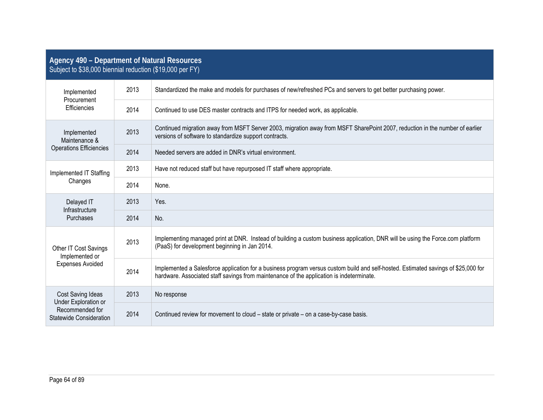| Agency 490 - Department of Natural Resources<br>Subject to \$38,000 biennial reduction (\$19,000 per FY) |      |                                                                                                                                                                                                                                |  |
|----------------------------------------------------------------------------------------------------------|------|--------------------------------------------------------------------------------------------------------------------------------------------------------------------------------------------------------------------------------|--|
| Implemented<br>Procurement<br>Efficiencies                                                               | 2013 | Standardized the make and models for purchases of new/refreshed PCs and servers to get better purchasing power.                                                                                                                |  |
|                                                                                                          | 2014 | Continued to use DES master contracts and ITPS for needed work, as applicable.                                                                                                                                                 |  |
| Implemented<br>Maintenance &<br><b>Operations Efficiencies</b>                                           | 2013 | Continued migration away from MSFT Server 2003, migration away from MSFT SharePoint 2007, reduction in the number of earlier<br>versions of software to standardize support contracts.                                         |  |
|                                                                                                          | 2014 | Needed servers are added in DNR's virtual environment.                                                                                                                                                                         |  |
| Implemented IT Staffing                                                                                  | 2013 | Have not reduced staff but have repurposed IT staff where appropriate.                                                                                                                                                         |  |
| Changes                                                                                                  | 2014 | None.                                                                                                                                                                                                                          |  |
| Delayed IT<br>Infrastructure<br>Purchases                                                                | 2013 | Yes.                                                                                                                                                                                                                           |  |
|                                                                                                          | 2014 | No.                                                                                                                                                                                                                            |  |
| Other IT Cost Savings<br>Implemented or<br><b>Expenses Avoided</b>                                       | 2013 | Implementing managed print at DNR. Instead of building a custom business application, DNR will be using the Force.com platform<br>(PaaS) for development beginning in Jan 2014.                                                |  |
|                                                                                                          | 2014 | Implemented a Salesforce application for a business program versus custom build and self-hosted. Estimated savings of \$25,000 for<br>hardware. Associated staff savings from maintenance of the application is indeterminate. |  |
| Cost Saving Ideas<br><b>Under Exploration or</b>                                                         | 2013 | No response                                                                                                                                                                                                                    |  |
| Recommended for<br>Statewide Consideration                                                               | 2014 | Continued review for movement to cloud – state or private – on a case-by-case basis.                                                                                                                                           |  |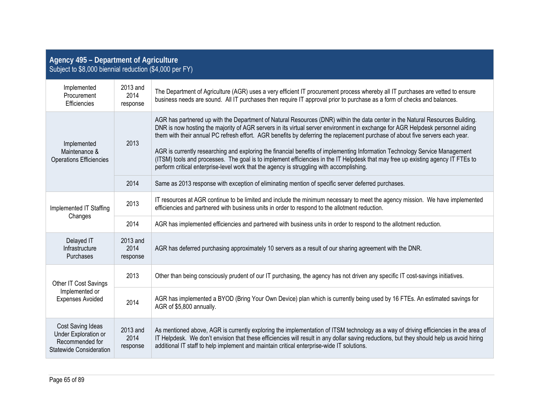| Agency 495 - Department of Agriculture<br>Subject to \$8,000 biennial reduction (\$4,000 per FY) |                              |                                                                                                                                                                                                                                                                                                                                                                                                                                                                                                                                                                                                                                                                                                                                                                 |  |
|--------------------------------------------------------------------------------------------------|------------------------------|-----------------------------------------------------------------------------------------------------------------------------------------------------------------------------------------------------------------------------------------------------------------------------------------------------------------------------------------------------------------------------------------------------------------------------------------------------------------------------------------------------------------------------------------------------------------------------------------------------------------------------------------------------------------------------------------------------------------------------------------------------------------|--|
| Implemented<br>Procurement<br>Efficiencies                                                       | 2013 and<br>2014<br>response | The Department of Agriculture (AGR) uses a very efficient IT procurement process whereby all IT purchases are vetted to ensure<br>business needs are sound. All IT purchases then require IT approval prior to purchase as a form of checks and balances.                                                                                                                                                                                                                                                                                                                                                                                                                                                                                                       |  |
| Implemented<br>Maintenance &<br><b>Operations Efficiencies</b>                                   | 2013                         | AGR has partnered up with the Department of Natural Resources (DNR) within the data center in the Natural Resources Building.<br>DNR is now hosting the majority of AGR servers in its virtual server environment in exchange for AGR Helpdesk personnel aiding<br>them with their annual PC refresh effort. AGR benefits by deferring the replacement purchase of about five servers each year.<br>AGR is currently researching and exploring the financial benefits of implementing Information Technology Service Management<br>(ITSM) tools and processes. The goal is to implement efficiencies in the IT Helpdesk that may free up existing agency IT FTEs to<br>perform critical enterprise-level work that the agency is struggling with accomplishing. |  |
|                                                                                                  | 2014                         | Same as 2013 response with exception of eliminating mention of specific server deferred purchases.                                                                                                                                                                                                                                                                                                                                                                                                                                                                                                                                                                                                                                                              |  |
| Implemented IT Staffing                                                                          | 2013                         | IT resources at AGR continue to be limited and include the minimum necessary to meet the agency mission. We have implemented<br>efficiencies and partnered with business units in order to respond to the allotment reduction.                                                                                                                                                                                                                                                                                                                                                                                                                                                                                                                                  |  |
| Changes                                                                                          | 2014                         | AGR has implemented efficiencies and partnered with business units in order to respond to the allotment reduction.                                                                                                                                                                                                                                                                                                                                                                                                                                                                                                                                                                                                                                              |  |
| Delayed IT<br>Infrastructure<br>Purchases                                                        | 2013 and<br>2014<br>response | AGR has deferred purchasing approximately 10 servers as a result of our sharing agreement with the DNR.                                                                                                                                                                                                                                                                                                                                                                                                                                                                                                                                                                                                                                                         |  |
| Other IT Cost Savings<br>Implemented or<br><b>Expenses Avoided</b>                               | 2013                         | Other than being consciously prudent of our IT purchasing, the agency has not driven any specific IT cost-savings initiatives.                                                                                                                                                                                                                                                                                                                                                                                                                                                                                                                                                                                                                                  |  |
|                                                                                                  | 2014                         | AGR has implemented a BYOD (Bring Your Own Device) plan which is currently being used by 16 FTEs. An estimated savings for<br>AGR of \$5,800 annually.                                                                                                                                                                                                                                                                                                                                                                                                                                                                                                                                                                                                          |  |
| Cost Saving Ideas<br>Under Exploration or<br>Recommended for<br><b>Statewide Consideration</b>   | 2013 and<br>2014<br>response | As mentioned above, AGR is currently exploring the implementation of ITSM technology as a way of driving efficiencies in the area of<br>IT Helpdesk. We don't envision that these efficiencies will result in any dollar saving reductions, but they should help us avoid hiring<br>additional IT staff to help implement and maintain critical enterprise-wide IT solutions.                                                                                                                                                                                                                                                                                                                                                                                   |  |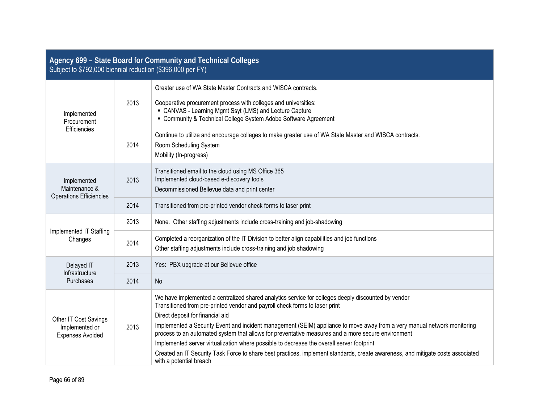| Agency 699 - State Board for Community and Technical Colleges<br>Subject to \$792,000 biennial reduction (\$396,000 per FY) |      |                                                                                                                                                                                                                                                                                                                                                                                                                                                                                                                                                                                                                                                                                                                     |  |
|-----------------------------------------------------------------------------------------------------------------------------|------|---------------------------------------------------------------------------------------------------------------------------------------------------------------------------------------------------------------------------------------------------------------------------------------------------------------------------------------------------------------------------------------------------------------------------------------------------------------------------------------------------------------------------------------------------------------------------------------------------------------------------------------------------------------------------------------------------------------------|--|
| Implemented<br>Procurement<br>Efficiencies                                                                                  | 2013 | Greater use of WA State Master Contracts and WISCA contracts.<br>Cooperative procurement process with colleges and universities:<br>• CANVAS - Learning Mgmt Ssyt (LMS) and Lecture Capture<br>• Community & Technical College System Adobe Software Agreement                                                                                                                                                                                                                                                                                                                                                                                                                                                      |  |
|                                                                                                                             | 2014 | Continue to utilize and encourage colleges to make greater use of WA State Master and WISCA contracts.<br>Room Scheduling System<br>Mobility (In-progress)                                                                                                                                                                                                                                                                                                                                                                                                                                                                                                                                                          |  |
| Implemented<br>Maintenance &<br>Operations Efficiencies                                                                     | 2013 | Transitioned email to the cloud using MS Office 365<br>Implemented cloud-based e-discovery tools<br>Decommissioned Bellevue data and print center                                                                                                                                                                                                                                                                                                                                                                                                                                                                                                                                                                   |  |
|                                                                                                                             | 2014 | Transitioned from pre-printed vendor check forms to laser print                                                                                                                                                                                                                                                                                                                                                                                                                                                                                                                                                                                                                                                     |  |
|                                                                                                                             | 2013 | None. Other staffing adjustments include cross-training and job-shadowing                                                                                                                                                                                                                                                                                                                                                                                                                                                                                                                                                                                                                                           |  |
| Implemented IT Staffing<br>Changes                                                                                          | 2014 | Completed a reorganization of the IT Division to better align capabilities and job functions<br>Other staffing adjustments include cross-training and job shadowing                                                                                                                                                                                                                                                                                                                                                                                                                                                                                                                                                 |  |
| Delayed IT<br>Infrastructure<br>Purchases                                                                                   | 2013 | Yes: PBX upgrade at our Bellevue office                                                                                                                                                                                                                                                                                                                                                                                                                                                                                                                                                                                                                                                                             |  |
|                                                                                                                             | 2014 | No                                                                                                                                                                                                                                                                                                                                                                                                                                                                                                                                                                                                                                                                                                                  |  |
| Other IT Cost Savings<br>Implemented or<br><b>Expenses Avoided</b>                                                          | 2013 | We have implemented a centralized shared analytics service for colleges deeply discounted by vendor<br>Transitioned from pre-printed vendor and payroll check forms to laser print<br>Direct deposit for financial aid<br>Implemented a Security Event and incident management (SEIM) appliance to move away from a very manual network monitoring<br>process to an automated system that allows for preventative measures and a more secure environment<br>Implemented server virtualization where possible to decrease the overall server footprint<br>Created an IT Security Task Force to share best practices, implement standards, create awareness, and mitigate costs associated<br>with a potential breach |  |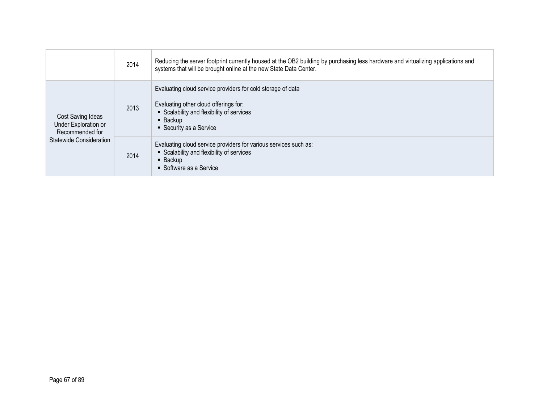|                                                                                         | 2014 | Reducing the server footprint currently housed at the OB2 building by purchasing less hardware and virtualizing applications and<br>systems that will be brought online at the new State Data Center. |
|-----------------------------------------------------------------------------------------|------|-------------------------------------------------------------------------------------------------------------------------------------------------------------------------------------------------------|
| Cost Saving Ideas<br>Under Exploration or<br>Recommended for<br>Statewide Consideration | 2013 | Evaluating cloud service providers for cold storage of data<br>Evaluating other cloud offerings for:<br>• Scalability and flexibility of services<br>$\blacksquare$ Backup<br>• Security as a Service |
|                                                                                         | 2014 | Evaluating cloud service providers for various services such as:<br>• Scalability and flexibility of services<br>$\blacksquare$ Backup<br>• Software as a Service                                     |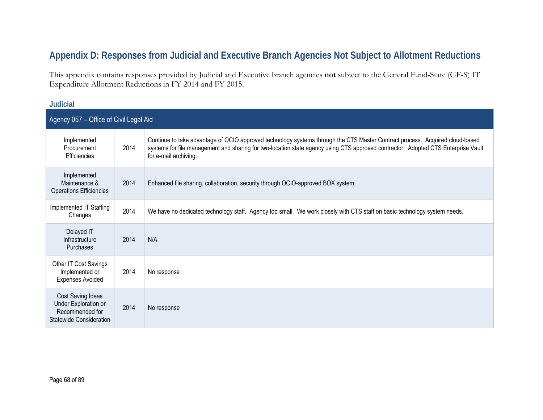## **Appendix D: Responses from Judicial and Executive Branch Agencies Not Subject to Allotment Reductions**

This appendix contains responses provided by Judicial and Executive branch agencies **not** subject to the General Fund-State (GF-S) IT Expenditure Allotment Reductions in FY 2014 and FY 2015.

## **Judicial**

| Agency 057 – Office of Civil Legal Aid                                                  |      |                                                                                                                                                                                                                                                                                            |  |
|-----------------------------------------------------------------------------------------|------|--------------------------------------------------------------------------------------------------------------------------------------------------------------------------------------------------------------------------------------------------------------------------------------------|--|
| Implemented<br>Procurement<br>Efficiencies                                              | 2014 | Continue to take advantage of OCIO approved technology systems through the CTS Master Contract process. Acquired cloud-based<br>systems for file management and sharing for two-location state agency using CTS approved contractor. Adopted CTS Enterprise Vault<br>for e-mail archiving. |  |
| Implemented<br>Maintenance &<br><b>Operations Efficiencies</b>                          | 2014 | Enhanced file sharing, collaboration, security through OCIO-approved BOX system.                                                                                                                                                                                                           |  |
| Implemented IT Staffing<br>Changes                                                      | 2014 | We have no dedicated technology staff. Agency too small. We work closely with CTS staff on basic technology system needs.                                                                                                                                                                  |  |
| Delayed IT<br>Infrastructure<br><b>Purchases</b>                                        | 2014 | N/A                                                                                                                                                                                                                                                                                        |  |
| Other IT Cost Savings<br>Implemented or<br><b>Expenses Avoided</b>                      | 2014 | No response                                                                                                                                                                                                                                                                                |  |
| Cost Saving Ideas<br>Under Exploration or<br>Recommended for<br>Statewide Consideration | 2014 | No response                                                                                                                                                                                                                                                                                |  |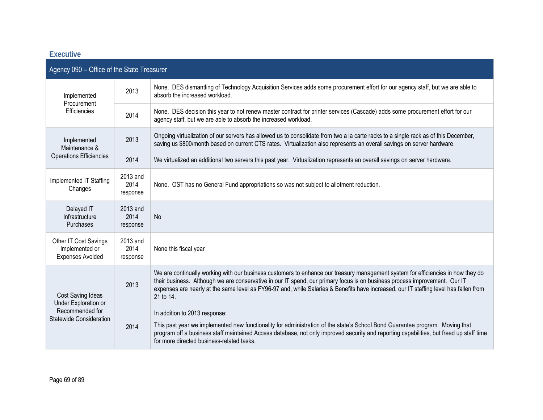| <b>Executive</b>                                                                               |                              |                                                                                                                                                                                                                                                                                                                                                                                                                      |  |
|------------------------------------------------------------------------------------------------|------------------------------|----------------------------------------------------------------------------------------------------------------------------------------------------------------------------------------------------------------------------------------------------------------------------------------------------------------------------------------------------------------------------------------------------------------------|--|
| Agency 090 - Office of the State Treasurer                                                     |                              |                                                                                                                                                                                                                                                                                                                                                                                                                      |  |
| Implemented<br>Procurement<br>Efficiencies                                                     | 2013                         | None. DES dismantling of Technology Acquisition Services adds some procurement effort for our agency staff, but we are able to<br>absorb the increased workload.                                                                                                                                                                                                                                                     |  |
|                                                                                                | 2014                         | None. DES decision this year to not renew master contract for printer services (Cascade) adds some procurement effort for our<br>agency staff, but we are able to absorb the increased workload.                                                                                                                                                                                                                     |  |
| Implemented<br>Maintenance &                                                                   | 2013                         | Ongoing virtualization of our servers has allowed us to consolidate from two a la carte racks to a single rack as of this December,<br>saving us \$800/month based on current CTS rates. Virtualization also represents an overall savings on server hardware.                                                                                                                                                       |  |
| <b>Operations Efficiencies</b>                                                                 | 2014                         | We virtualized an additional two servers this past year. Virtualization represents an overall savings on server hardware.                                                                                                                                                                                                                                                                                            |  |
| Implemented IT Staffing<br>Changes                                                             | 2013 and<br>2014<br>response | None. OST has no General Fund appropriations so was not subject to allotment reduction.                                                                                                                                                                                                                                                                                                                              |  |
| Delayed IT<br>Infrastructure<br>Purchases                                                      | 2013 and<br>2014<br>response | <b>No</b>                                                                                                                                                                                                                                                                                                                                                                                                            |  |
| Other IT Cost Savings<br>Implemented or<br><b>Expenses Avoided</b>                             | 2013 and<br>2014<br>response | None this fiscal year                                                                                                                                                                                                                                                                                                                                                                                                |  |
| Cost Saving Ideas<br>Under Exploration or<br>Recommended for<br><b>Statewide Consideration</b> | 2013                         | We are continually working with our business customers to enhance our treasury management system for efficiencies in how they do<br>their business. Although we are conservative in our IT spend, our primary focus is on business process improvement. Our IT<br>expenses are nearly at the same level as FY96-97 and, while Salaries & Benefits have increased, our IT staffing level has fallen from<br>21 to 14. |  |
|                                                                                                | 2014                         | In addition to 2013 response:<br>This past year we implemented new functionality for administration of the state's School Bond Guarantee program. Moving that<br>program off a business staff maintained Access database, not only improved security and reporting capabilities, but freed up staff time<br>for more directed business-related tasks.                                                                |  |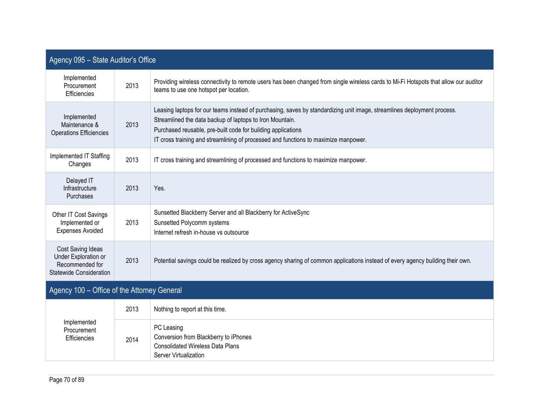| Agency 095 - State Auditor's Office                                                            |      |                                                                                                                                                                                                                                                                                                                                            |  |
|------------------------------------------------------------------------------------------------|------|--------------------------------------------------------------------------------------------------------------------------------------------------------------------------------------------------------------------------------------------------------------------------------------------------------------------------------------------|--|
| Implemented<br>Procurement<br>Efficiencies                                                     | 2013 | Providing wireless connectivity to remote users has been changed from single wireless cards to Mi-Fi Hotspots that allow our auditor<br>teams to use one hotspot per location.                                                                                                                                                             |  |
| Implemented<br>Maintenance &<br><b>Operations Efficiencies</b>                                 | 2013 | Leasing laptops for our teams instead of purchasing, saves by standardizing unit image, streamlines deployment process.<br>Streamlined the data backup of laptops to Iron Mountain.<br>Purchased reusable, pre-built code for building applications<br>IT cross training and streamlining of processed and functions to maximize manpower. |  |
| Implemented IT Staffing<br>Changes                                                             | 2013 | IT cross training and streamlining of processed and functions to maximize manpower.                                                                                                                                                                                                                                                        |  |
| Delayed IT<br>Infrastructure<br>Purchases                                                      | 2013 | Yes.                                                                                                                                                                                                                                                                                                                                       |  |
| Other IT Cost Savings<br>Implemented or<br><b>Expenses Avoided</b>                             | 2013 | Sunsetted Blackberry Server and all Blackberry for ActiveSync<br>Sunsetted Polycomm systems<br>Internet refresh in-house vs outsource                                                                                                                                                                                                      |  |
| Cost Saving Ideas<br>Under Exploration or<br>Recommended for<br><b>Statewide Consideration</b> | 2013 | Potential savings could be realized by cross agency sharing of common applications instead of every agency building their own.                                                                                                                                                                                                             |  |
| Agency 100 - Office of the Attorney General                                                    |      |                                                                                                                                                                                                                                                                                                                                            |  |
| Implemented<br>Procurement<br>Efficiencies                                                     | 2013 | Nothing to report at this time.                                                                                                                                                                                                                                                                                                            |  |
|                                                                                                | 2014 | PC Leasing<br>Conversion from Blackberry to iPhones<br><b>Consolidated Wireless Data Plans</b><br>Server Virtualization                                                                                                                                                                                                                    |  |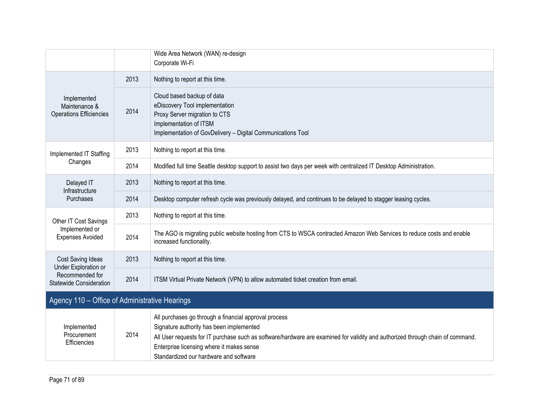|                                                                |      | Wide Area Network (WAN) re-design<br>Corporate Wi-Fi                                                                                                                                                                                                                                                                       |
|----------------------------------------------------------------|------|----------------------------------------------------------------------------------------------------------------------------------------------------------------------------------------------------------------------------------------------------------------------------------------------------------------------------|
| Implemented<br>Maintenance &<br><b>Operations Efficiencies</b> | 2013 | Nothing to report at this time.                                                                                                                                                                                                                                                                                            |
|                                                                | 2014 | Cloud based backup of data<br>eDiscovery Tool implementation<br>Proxy Server migration to CTS<br>Implementation of ITSM<br>Implementation of GovDelivery - Digital Communications Tool                                                                                                                                     |
| Implemented IT Staffing                                        | 2013 | Nothing to report at this time.                                                                                                                                                                                                                                                                                            |
| Changes                                                        | 2014 | Modified full time Seattle desktop support to assist two days per week with centralized IT Desktop Administration.                                                                                                                                                                                                         |
| Delayed IT                                                     | 2013 | Nothing to report at this time.                                                                                                                                                                                                                                                                                            |
| Infrastructure<br><b>Purchases</b>                             | 2014 | Desktop computer refresh cycle was previously delayed, and continues to be delayed to stagger leasing cycles.                                                                                                                                                                                                              |
| Other IT Cost Savings                                          | 2013 | Nothing to report at this time.                                                                                                                                                                                                                                                                                            |
| Implemented or<br><b>Expenses Avoided</b>                      | 2014 | The AGO is migrating public website hosting from CTS to WSCA contracted Amazon Web Services to reduce costs and enable<br>increased functionality.                                                                                                                                                                         |
| Cost Saving Ideas<br>Under Exploration or                      | 2013 | Nothing to report at this time.                                                                                                                                                                                                                                                                                            |
| Recommended for<br><b>Statewide Consideration</b>              | 2014 | ITSM Virtual Private Network (VPN) to allow automated ticket creation from email.                                                                                                                                                                                                                                          |
| Agency 110 - Office of Administrative Hearings                 |      |                                                                                                                                                                                                                                                                                                                            |
| Implemented<br>Procurement<br>Efficiencies                     | 2014 | All purchases go through a financial approval process<br>Signature authority has been implemented<br>All User requests for IT purchase such as software/hardware are examined for validity and authorized through chain of command.<br>Enterprise licensing where it makes sense<br>Standardized our hardware and software |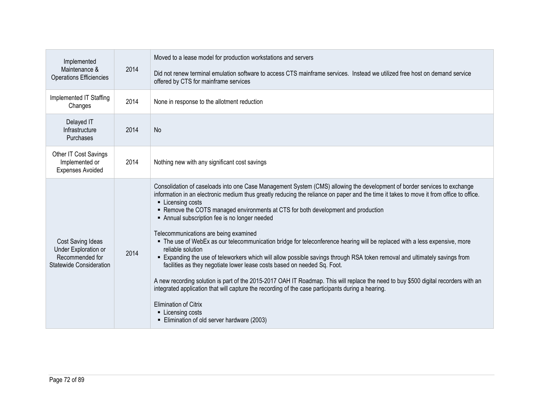| Implemented<br>Maintenance &<br>Operations Efficiencies                                 | 2014 | Moved to a lease model for production workstations and servers<br>Did not renew terminal emulation software to access CTS mainframe services. Instead we utilized free host on demand service<br>offered by CTS for mainframe services                                                                                                                                                                                                                                                                                                                                                                                                                                                                                                                                                                                                                                                                                                                                                                                                                                                                                                                                           |
|-----------------------------------------------------------------------------------------|------|----------------------------------------------------------------------------------------------------------------------------------------------------------------------------------------------------------------------------------------------------------------------------------------------------------------------------------------------------------------------------------------------------------------------------------------------------------------------------------------------------------------------------------------------------------------------------------------------------------------------------------------------------------------------------------------------------------------------------------------------------------------------------------------------------------------------------------------------------------------------------------------------------------------------------------------------------------------------------------------------------------------------------------------------------------------------------------------------------------------------------------------------------------------------------------|
| Implemented IT Staffing<br>Changes                                                      | 2014 | None in response to the allotment reduction                                                                                                                                                                                                                                                                                                                                                                                                                                                                                                                                                                                                                                                                                                                                                                                                                                                                                                                                                                                                                                                                                                                                      |
| Delayed IT<br>Infrastructure<br><b>Purchases</b>                                        | 2014 | No                                                                                                                                                                                                                                                                                                                                                                                                                                                                                                                                                                                                                                                                                                                                                                                                                                                                                                                                                                                                                                                                                                                                                                               |
| Other IT Cost Savings<br>Implemented or<br><b>Expenses Avoided</b>                      | 2014 | Nothing new with any significant cost savings                                                                                                                                                                                                                                                                                                                                                                                                                                                                                                                                                                                                                                                                                                                                                                                                                                                                                                                                                                                                                                                                                                                                    |
| Cost Saving Ideas<br>Under Exploration or<br>Recommended for<br>Statewide Consideration | 2014 | Consolidation of caseloads into one Case Management System (CMS) allowing the development of border services to exchange<br>information in an electronic medium thus greatly reducing the reliance on paper and the time it takes to move it from office to office.<br>• Licensing costs<br>• Remove the COTS managed environments at CTS for both development and production<br>Annual subscription fee is no longer needed<br>Telecommunications are being examined<br>• The use of WebEx as our telecommunication bridge for teleconference hearing will be replaced with a less expensive, more<br>reliable solution<br>" Expanding the use of teleworkers which will allow possible savings through RSA token removal and ultimately savings from<br>facilities as they negotiate lower lease costs based on needed Sq. Foot.<br>A new recording solution is part of the 2015-2017 OAH IT Roadmap. This will replace the need to buy \$500 digital recorders with an<br>integrated application that will capture the recording of the case participants during a hearing.<br><b>Elimination of Citrix</b><br>• Licensing costs<br>Elimination of old server hardware (2003) |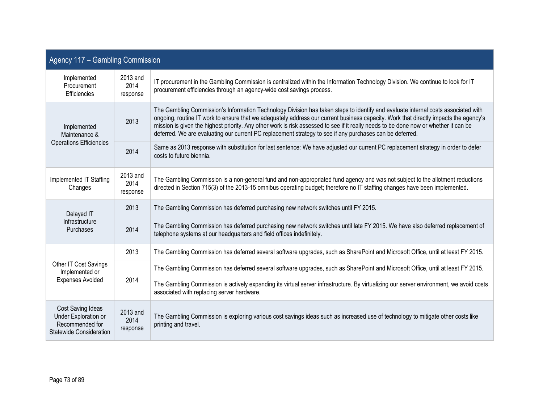| Agency 117 - Gambling Commission                                                                      |                              |                                                                                                                                                                                                                                                                                                                                                                                                                                                                                                                               |  |
|-------------------------------------------------------------------------------------------------------|------------------------------|-------------------------------------------------------------------------------------------------------------------------------------------------------------------------------------------------------------------------------------------------------------------------------------------------------------------------------------------------------------------------------------------------------------------------------------------------------------------------------------------------------------------------------|--|
| Implemented<br>Procurement<br>Efficiencies                                                            | 2013 and<br>2014<br>response | IT procurement in the Gambling Commission is centralized within the Information Technology Division. We continue to look for IT<br>procurement efficiencies through an agency-wide cost savings process.                                                                                                                                                                                                                                                                                                                      |  |
| Implemented<br>Maintenance &<br><b>Operations Efficiencies</b>                                        | 2013                         | The Gambling Commission's Information Technology Division has taken steps to identify and evaluate internal costs associated with<br>ongoing, routine IT work to ensure that we adequately address our current business capacity. Work that directly impacts the agency's<br>mission is given the highest priority. Any other work is risk assessed to see if it really needs to be done now or whether it can be<br>deferred. We are evaluating our current PC replacement strategy to see if any purchases can be deferred. |  |
|                                                                                                       | 2014                         | Same as 2013 response with substitution for last sentence: We have adjusted our current PC replacement strategy in order to defer<br>costs to future biennia.                                                                                                                                                                                                                                                                                                                                                                 |  |
| Implemented IT Staffing<br>Changes                                                                    | 2013 and<br>2014<br>response | The Gambling Commission is a non-general fund and non-appropriated fund agency and was not subject to the allotment reductions<br>directed in Section 715(3) of the 2013-15 omnibus operating budget; therefore no IT staffing changes have been implemented.                                                                                                                                                                                                                                                                 |  |
| Delayed IT<br>Infrastructure<br>Purchases                                                             | 2013                         | The Gambling Commission has deferred purchasing new network switches until FY 2015.                                                                                                                                                                                                                                                                                                                                                                                                                                           |  |
|                                                                                                       | 2014                         | The Gambling Commission has deferred purchasing new network switches until late FY 2015. We have also deferred replacement of<br>telephone systems at our headquarters and field offices indefinitely.                                                                                                                                                                                                                                                                                                                        |  |
|                                                                                                       | 2013                         | The Gambling Commission has deferred several software upgrades, such as SharePoint and Microsoft Office, until at least FY 2015.                                                                                                                                                                                                                                                                                                                                                                                              |  |
| Other IT Cost Savings<br>Implemented or                                                               | 2014                         | The Gambling Commission has deferred several software upgrades, such as SharePoint and Microsoft Office, until at least FY 2015.                                                                                                                                                                                                                                                                                                                                                                                              |  |
| <b>Expenses Avoided</b>                                                                               |                              | The Gambling Commission is actively expanding its virtual server infrastructure. By virtualizing our server environment, we avoid costs<br>associated with replacing server hardware.                                                                                                                                                                                                                                                                                                                                         |  |
| <b>Cost Saving Ideas</b><br>Under Exploration or<br>Recommended for<br><b>Statewide Consideration</b> | 2013 and<br>2014<br>response | The Gambling Commission is exploring various cost savings ideas such as increased use of technology to mitigate other costs like<br>printing and travel.                                                                                                                                                                                                                                                                                                                                                                      |  |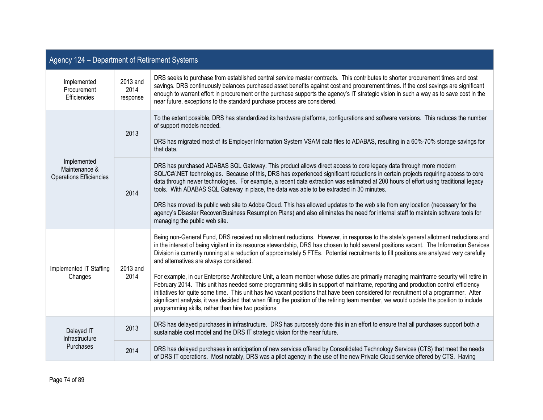| Agency 124 - Department of Retirement Systems                  |                                                                                                                                                                                                                                                                                                                                                                                                                                                                                                                                                                                                                                                                                                                                                                                                                                                                                                                                                                                                                                                                                                                     |                                                                                                                                                                                                                                                                                                                                                                                                                                                                                                                                                                                                                                                                                                                                                                                                       |  |
|----------------------------------------------------------------|---------------------------------------------------------------------------------------------------------------------------------------------------------------------------------------------------------------------------------------------------------------------------------------------------------------------------------------------------------------------------------------------------------------------------------------------------------------------------------------------------------------------------------------------------------------------------------------------------------------------------------------------------------------------------------------------------------------------------------------------------------------------------------------------------------------------------------------------------------------------------------------------------------------------------------------------------------------------------------------------------------------------------------------------------------------------------------------------------------------------|-------------------------------------------------------------------------------------------------------------------------------------------------------------------------------------------------------------------------------------------------------------------------------------------------------------------------------------------------------------------------------------------------------------------------------------------------------------------------------------------------------------------------------------------------------------------------------------------------------------------------------------------------------------------------------------------------------------------------------------------------------------------------------------------------------|--|
| Implemented<br>Procurement<br>Efficiencies                     | 2013 and<br>2014<br>response                                                                                                                                                                                                                                                                                                                                                                                                                                                                                                                                                                                                                                                                                                                                                                                                                                                                                                                                                                                                                                                                                        | DRS seeks to purchase from established central service master contracts. This contributes to shorter procurement times and cost<br>savings. DRS continuously balances purchased asset benefits against cost and procurement times. If the cost savings are significant<br>enough to warrant effort in procurement or the purchase supports the agency's IT strategic vision in such a way as to save cost in the<br>near future, exceptions to the standard purchase process are considered.                                                                                                                                                                                                                                                                                                          |  |
| Implemented<br>Maintenance &<br><b>Operations Efficiencies</b> | 2013                                                                                                                                                                                                                                                                                                                                                                                                                                                                                                                                                                                                                                                                                                                                                                                                                                                                                                                                                                                                                                                                                                                | To the extent possible, DRS has standardized its hardware platforms, configurations and software versions. This reduces the number<br>of support models needed.<br>DRS has migrated most of its Employer Information System VSAM data files to ADABAS, resulting in a 60%-70% storage savings for<br>that data.                                                                                                                                                                                                                                                                                                                                                                                                                                                                                       |  |
|                                                                | 2014                                                                                                                                                                                                                                                                                                                                                                                                                                                                                                                                                                                                                                                                                                                                                                                                                                                                                                                                                                                                                                                                                                                | DRS has purchased ADABAS SQL Gateway. This product allows direct access to core legacy data through more modern<br>SQL/C#/.NET technologies. Because of this, DRS has experienced significant reductions in certain projects requiring access to core<br>data through newer technologies. For example, a recent data extraction was estimated at 200 hours of effort using traditional legacy<br>tools. With ADABAS SQL Gateway in place, the data was able to be extracted in 30 minutes.<br>DRS has moved its public web site to Adobe Cloud. This has allowed updates to the web site from any location (necessary for the<br>agency's Disaster Recover/Business Resumption Plans) and also eliminates the need for internal staff to maintain software tools for<br>managing the public web site. |  |
| Implemented IT Staffing<br>Changes                             | Being non-General Fund, DRS received no allotment reductions. However, in response to the state's general allotment reductions and<br>in the interest of being vigilant in its resource stewardship, DRS has chosen to hold several positions vacant. The Information Services<br>Division is currently running at a reduction of approximately 5 FTEs. Potential recruitments to fill positions are analyzed very carefully<br>and alternatives are always considered.<br>2013 and<br>For example, in our Enterprise Architecture Unit, a team member whose duties are primarily managing mainframe security will retire in<br>2014<br>February 2014. This unit has needed some programming skills in support of mainframe, reporting and production control efficiency<br>initiatives for quite some time. This unit has two vacant positions that have been considered for recruitment of a programmer. After<br>significant analysis, it was decided that when filling the position of the retiring team member, we would update the position to include<br>programming skills, rather than hire two positions. |                                                                                                                                                                                                                                                                                                                                                                                                                                                                                                                                                                                                                                                                                                                                                                                                       |  |
| Delayed IT<br>Infrastructure<br><b>Purchases</b>               | 2013                                                                                                                                                                                                                                                                                                                                                                                                                                                                                                                                                                                                                                                                                                                                                                                                                                                                                                                                                                                                                                                                                                                | DRS has delayed purchases in infrastructure. DRS has purposely done this in an effort to ensure that all purchases support both a<br>sustainable cost model and the DRS IT strategic vision for the near future.                                                                                                                                                                                                                                                                                                                                                                                                                                                                                                                                                                                      |  |
|                                                                | 2014                                                                                                                                                                                                                                                                                                                                                                                                                                                                                                                                                                                                                                                                                                                                                                                                                                                                                                                                                                                                                                                                                                                | DRS has delayed purchases in anticipation of new services offered by Consolidated Technology Services (CTS) that meet the needs<br>of DRS IT operations. Most notably, DRS was a pilot agency in the use of the new Private Cloud service offered by CTS. Having                                                                                                                                                                                                                                                                                                                                                                                                                                                                                                                                      |  |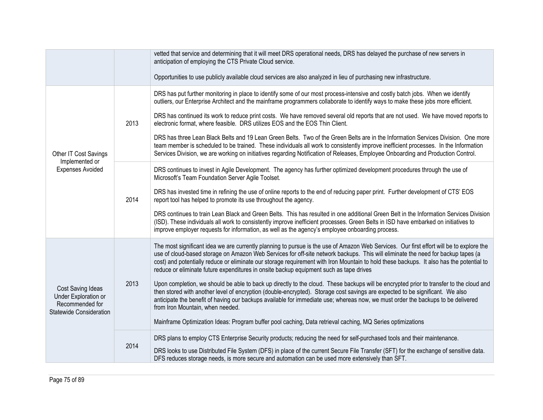|                                                                                                |      | vetted that service and determining that it will meet DRS operational needs, DRS has delayed the purchase of new servers in<br>anticipation of employing the CTS Private Cloud service.<br>Opportunities to use publicly available cloud services are also analyzed in lieu of purchasing new infrastructure.                                                                                                                                                                                                                                                                                                                                                                                                                                                                                                                                                                                                                                                                                                                                                                        |  |
|------------------------------------------------------------------------------------------------|------|--------------------------------------------------------------------------------------------------------------------------------------------------------------------------------------------------------------------------------------------------------------------------------------------------------------------------------------------------------------------------------------------------------------------------------------------------------------------------------------------------------------------------------------------------------------------------------------------------------------------------------------------------------------------------------------------------------------------------------------------------------------------------------------------------------------------------------------------------------------------------------------------------------------------------------------------------------------------------------------------------------------------------------------------------------------------------------------|--|
| Other IT Cost Savings<br>Implemented or<br><b>Expenses Avoided</b>                             | 2013 | DRS has put further monitoring in place to identify some of our most process-intensive and costly batch jobs. When we identify<br>outliers, our Enterprise Architect and the mainframe programmers collaborate to identify ways to make these jobs more efficient.<br>DRS has continued its work to reduce print costs. We have removed several old reports that are not used. We have moved reports to<br>electronic format, where feasible. DRS utilizes EOS and the EOS Thin Client.<br>DRS has three Lean Black Belts and 19 Lean Green Belts. Two of the Green Belts are in the Information Services Division. One more<br>team member is scheduled to be trained. These individuals all work to consistently improve inefficient processes. In the Information<br>Services Division, we are working on initiatives regarding Notification of Releases, Employee Onboarding and Production Control.                                                                                                                                                                             |  |
|                                                                                                | 2014 | DRS continues to invest in Agile Development. The agency has further optimized development procedures through the use of<br>Microsoft's Team Foundation Server Agile Toolset.<br>DRS has invested time in refining the use of online reports to the end of reducing paper print. Further development of CTS' EOS<br>report tool has helped to promote its use throughout the agency.<br>DRS continues to train Lean Black and Green Belts. This has resulted in one additional Green Belt in the Information Services Division<br>(ISD). These individuals all work to consistently improve inefficient processes. Green Belts in ISD have embarked on initiatives to<br>improve employer requests for information, as well as the agency's employee onboarding process.                                                                                                                                                                                                                                                                                                             |  |
| Cost Saving Ideas<br>Under Exploration or<br>Recommended for<br><b>Statewide Consideration</b> | 2013 | The most significant idea we are currently planning to pursue is the use of Amazon Web Services. Our first effort will be to explore the<br>use of cloud-based storage on Amazon Web Services for off-site network backups. This will eliminate the need for backup tapes (a<br>cost) and potentially reduce or eliminate our storage requirement with Iron Mountain to hold these backups. It also has the potential to<br>reduce or eliminate future expenditures in onsite backup equipment such as tape drives<br>Upon completion, we should be able to back up directly to the cloud. These backups will be encrypted prior to transfer to the cloud and<br>then stored with another level of encryption (double-encrypted). Storage cost savings are expected to be significant. We also<br>anticipate the benefit of having our backups available for immediate use; whereas now, we must order the backups to be delivered<br>from Iron Mountain, when needed.<br>Mainframe Optimization Ideas: Program buffer pool caching, Data retrieval caching, MQ Series optimizations |  |
|                                                                                                | 2014 | DRS plans to employ CTS Enterprise Security products; reducing the need for self-purchased tools and their maintenance.<br>DRS looks to use Distributed File System (DFS) in place of the current Secure File Transfer (SFT) for the exchange of sensitive data.<br>DFS reduces storage needs, is more secure and automation can be used more extensively than SFT.                                                                                                                                                                                                                                                                                                                                                                                                                                                                                                                                                                                                                                                                                                                  |  |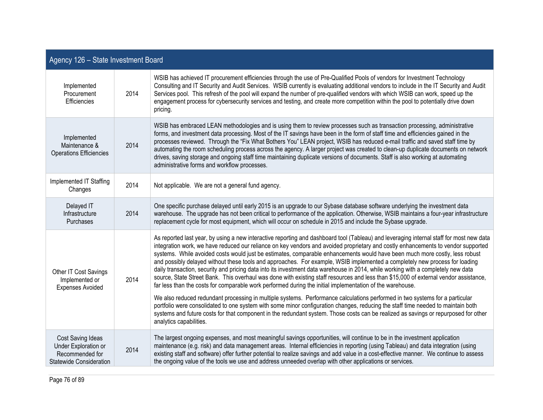| Agency 126 - State Investment Board                                                            |      |                                                                                                                                                                                                                                                                                                                                                                                                                                                                                                                                                                                                                                                                                                                                                                                                                                                                                                                                                                                                                                                                        |  |
|------------------------------------------------------------------------------------------------|------|------------------------------------------------------------------------------------------------------------------------------------------------------------------------------------------------------------------------------------------------------------------------------------------------------------------------------------------------------------------------------------------------------------------------------------------------------------------------------------------------------------------------------------------------------------------------------------------------------------------------------------------------------------------------------------------------------------------------------------------------------------------------------------------------------------------------------------------------------------------------------------------------------------------------------------------------------------------------------------------------------------------------------------------------------------------------|--|
| Implemented<br>Procurement<br>Efficiencies                                                     | 2014 | WSIB has achieved IT procurement efficiencies through the use of Pre-Qualified Pools of vendors for Investment Technology<br>Consulting and IT Security and Audit Services. WSIB currently is evaluating additional vendors to include in the IT Security and Audit<br>Services pool. This refresh of the pool will expand the number of pre-qualified vendors with which WSIB can work, speed up the<br>engagement process for cybersecurity services and testing, and create more competition within the pool to potentially drive down<br>pricing.                                                                                                                                                                                                                                                                                                                                                                                                                                                                                                                  |  |
| Implemented<br>Maintenance &<br><b>Operations Efficiencies</b>                                 | 2014 | WSIB has embraced LEAN methodologies and is using them to review processes such as transaction processing, administrative<br>forms, and investment data processing. Most of the IT savings have been in the form of staff time and efficiencies gained in the<br>processes reviewed. Through the "Fix What Bothers You" LEAN project, WSIB has reduced e-mail traffic and saved staff time by<br>automating the room scheduling process across the agency. A larger project was created to clean-up duplicate documents on network<br>drives, saving storage and ongoing staff time maintaining duplicate versions of documents. Staff is also working at automating<br>administrative forms and workflow processes.                                                                                                                                                                                                                                                                                                                                                   |  |
| Implemented IT Staffing<br>Changes                                                             | 2014 | Not applicable. We are not a general fund agency.                                                                                                                                                                                                                                                                                                                                                                                                                                                                                                                                                                                                                                                                                                                                                                                                                                                                                                                                                                                                                      |  |
| Delayed IT<br>Infrastructure<br><b>Purchases</b>                                               | 2014 | One specific purchase delayed until early 2015 is an upgrade to our Sybase database software underlying the investment data<br>warehouse. The upgrade has not been critical to performance of the application. Otherwise, WSIB maintains a four-year infrastructure<br>replacement cycle for most equipment, which will occur on schedule in 2015 and include the Sybase upgrade.                                                                                                                                                                                                                                                                                                                                                                                                                                                                                                                                                                                                                                                                                      |  |
| Other IT Cost Savings<br>Implemented or<br><b>Expenses Avoided</b>                             | 2014 | As reported last year, by using a new interactive reporting and dashboard tool (Tableau) and leveraging internal staff for most new data<br>integration work, we have reduced our reliance on key vendors and avoided proprietary and costly enhancements to vendor supported<br>systems. While avoided costs would just be estimates, comparable enhancements would have been much more costly, less robust<br>and possibly delayed without these tools and approaches. For example, WSIB implemented a completely new process for loading<br>daily transaction, security and pricing data into its investment data warehouse in 2014, while working with a completely new data<br>source, State Street Bank. This overhaul was done with existing staff resources and less than \$15,000 of external vendor assistance,<br>far less than the costs for comparable work performed during the initial implementation of the warehouse.<br>We also reduced redundant processing in multiple systems. Performance calculations performed in two systems for a particular |  |
|                                                                                                |      | portfolio were consolidated to one system with some minor configuration changes, reducing the staff time needed to maintain both<br>systems and future costs for that component in the redundant system. Those costs can be realized as savings or repurposed for other<br>analytics capabilities.                                                                                                                                                                                                                                                                                                                                                                                                                                                                                                                                                                                                                                                                                                                                                                     |  |
| Cost Saving Ideas<br>Under Exploration or<br>Recommended for<br><b>Statewide Consideration</b> | 2014 | The largest ongoing expenses, and most meaningful savings opportunities, will continue to be in the investment application<br>maintenance (e.g. risk) and data management areas. Internal efficiencies in reporting (using Tableau) and data integration (using<br>existing staff and software) offer further potential to realize savings and add value in a cost-effective manner. We continue to assess<br>the ongoing value of the tools we use and address unneeded overlap with other applications or services.                                                                                                                                                                                                                                                                                                                                                                                                                                                                                                                                                  |  |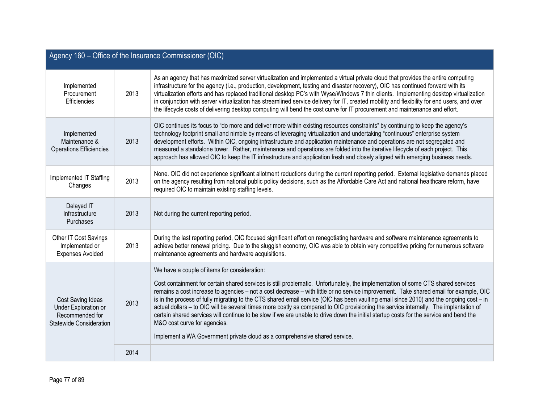| Agency 160 - Office of the Insurance Commissioner (OIC)                                        |      |                                                                                                                                                                                                                                                                                                                                                                                                                                                                                                                                                                                                                                                                                                                                                                                                                                                                       |  |
|------------------------------------------------------------------------------------------------|------|-----------------------------------------------------------------------------------------------------------------------------------------------------------------------------------------------------------------------------------------------------------------------------------------------------------------------------------------------------------------------------------------------------------------------------------------------------------------------------------------------------------------------------------------------------------------------------------------------------------------------------------------------------------------------------------------------------------------------------------------------------------------------------------------------------------------------------------------------------------------------|--|
| Implemented<br>Procurement<br>Efficiencies                                                     | 2013 | As an agency that has maximized server virtualization and implemented a virtual private cloud that provides the entire computing<br>infrastructure for the agency (i.e., production, development, testing and disaster recovery), OIC has continued forward with its<br>virtualization efforts and has replaced traditional desktop PC's with Wyse/Windows 7 thin clients. Implementing desktop virtualization<br>in conjunction with server virtualization has streamlined service delivery for IT, created mobility and flexibility for end users, and over<br>the lifecycle costs of delivering desktop computing will bend the cost curve for IT procurement and maintenance and effort.                                                                                                                                                                          |  |
| Implemented<br>Maintenance &<br><b>Operations Efficiencies</b>                                 | 2013 | OIC continues its focus to "do more and deliver more within existing resources constraints" by continuing to keep the agency's<br>technology footprint small and nimble by means of leveraging virtualization and undertaking "continuous" enterprise system<br>development efforts. Within OIC, ongoing infrastructure and application maintenance and operations are not segregated and<br>measured a standalone tower. Rather, maintenance and operations are folded into the iterative lifecycle of each project. This<br>approach has allowed OIC to keep the IT infrastructure and application fresh and closely aligned with emerging business needs.                                                                                                                                                                                                          |  |
| Implemented IT Staffing<br>Changes                                                             | 2013 | None. OIC did not experience significant allotment reductions during the current reporting period. External legislative demands placed<br>on the agency resulting from national public policy decisions, such as the Affordable Care Act and national healthcare reform, have<br>required OIC to maintain existing staffing levels.                                                                                                                                                                                                                                                                                                                                                                                                                                                                                                                                   |  |
| Delayed IT<br>Infrastructure<br><b>Purchases</b>                                               | 2013 | Not during the current reporting period.                                                                                                                                                                                                                                                                                                                                                                                                                                                                                                                                                                                                                                                                                                                                                                                                                              |  |
| Other IT Cost Savings<br>Implemented or<br><b>Expenses Avoided</b>                             | 2013 | During the last reporting period, OIC focused significant effort on renegotiating hardware and software maintenance agreements to<br>achieve better renewal pricing. Due to the sluggish economy, OIC was able to obtain very competitive pricing for numerous software<br>maintenance agreements and hardware acquisitions.                                                                                                                                                                                                                                                                                                                                                                                                                                                                                                                                          |  |
| Cost Saving Ideas<br>Under Exploration or<br>Recommended for<br><b>Statewide Consideration</b> | 2013 | We have a couple of items for consideration:<br>Cost containment for certain shared services is still problematic. Unfortunately, the implementation of some CTS shared services<br>remains a cost increase to agencies - not a cost decrease - with little or no service improvement. Take shared email for example, OIC<br>is in the process of fully migrating to the CTS shared email service (OIC has been vaulting email since 2010) and the ongoing cost - in<br>actual dollars - to OIC will be several times more costly as compared to OIC provisioning the service internally. The implantation of<br>certain shared services will continue to be slow if we are unable to drive down the initial startup costs for the service and bend the<br>M&O cost curve for agencies.<br>Implement a WA Government private cloud as a comprehensive shared service. |  |
|                                                                                                | 2014 |                                                                                                                                                                                                                                                                                                                                                                                                                                                                                                                                                                                                                                                                                                                                                                                                                                                                       |  |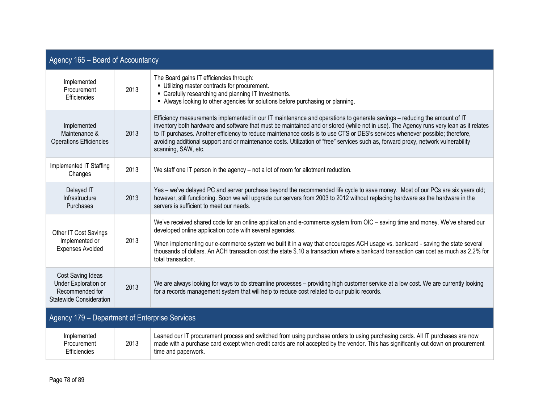| Agency 165 - Board of Accountancy                                                              |      |                                                                                                                                                                                                                                                                                                                                                                                                                                                                                                                                                                  |  |
|------------------------------------------------------------------------------------------------|------|------------------------------------------------------------------------------------------------------------------------------------------------------------------------------------------------------------------------------------------------------------------------------------------------------------------------------------------------------------------------------------------------------------------------------------------------------------------------------------------------------------------------------------------------------------------|--|
| Implemented<br>Procurement<br>Efficiencies                                                     | 2013 | The Board gains IT efficiencies through:<br>• Utilizing master contracts for procurement.<br>• Carefully researching and planning IT Investments.<br>Always looking to other agencies for solutions before purchasing or planning.                                                                                                                                                                                                                                                                                                                               |  |
| Implemented<br>Maintenance &<br><b>Operations Efficiencies</b>                                 | 2013 | Efficiency measurements implemented in our IT maintenance and operations to generate savings – reducing the amount of IT<br>inventory both hardware and software that must be maintained and or stored (while not in use). The Agency runs very lean as it relates<br>to IT purchases. Another efficiency to reduce maintenance costs is to use CTS or DES's services whenever possible; therefore,<br>avoiding additional support and or maintenance costs. Utilization of "free" services such as, forward proxy, network vulnerability<br>scanning, SAW, etc. |  |
| Implemented IT Staffing<br>Changes                                                             | 2013 | We staff one IT person in the agency - not a lot of room for allotment reduction.                                                                                                                                                                                                                                                                                                                                                                                                                                                                                |  |
| Delayed IT<br>Infrastructure<br>Purchases                                                      | 2013 | Yes - we've delayed PC and server purchase beyond the recommended life cycle to save money. Most of our PCs are six years old;<br>however, still functioning. Soon we will upgrade our servers from 2003 to 2012 without replacing hardware as the hardware in the<br>servers is sufficient to meet our needs.                                                                                                                                                                                                                                                   |  |
| Other IT Cost Savings<br>Implemented or<br><b>Expenses Avoided</b>                             | 2013 | We've received shared code for an online application and e-commerce system from OIC - saving time and money. We've shared our<br>developed online application code with several agencies.<br>When implementing our e-commerce system we built it in a way that encourages ACH usage vs. bankcard - saving the state several<br>thousands of dollars. An ACH transaction cost the state \$.10 a transaction where a bankcard transaction can cost as much as 2.2% for<br>total transaction.                                                                       |  |
| Cost Saving Ideas<br><b>Under Exploration or</b><br>Recommended for<br>Statewide Consideration | 2013 | We are always looking for ways to do streamline processes - providing high customer service at a low cost. We are currently looking<br>for a records management system that will help to reduce cost related to our public records.                                                                                                                                                                                                                                                                                                                              |  |
| Agency 179 - Department of Enterprise Services                                                 |      |                                                                                                                                                                                                                                                                                                                                                                                                                                                                                                                                                                  |  |
| Implemented<br>Procurement<br>Efficiencies                                                     | 2013 | Leaned our IT procurement process and switched from using purchase orders to using purchasing cards. All IT purchases are now<br>made with a purchase card except when credit cards are not accepted by the vendor. This has significantly cut down on procurement<br>time and paperwork.                                                                                                                                                                                                                                                                        |  |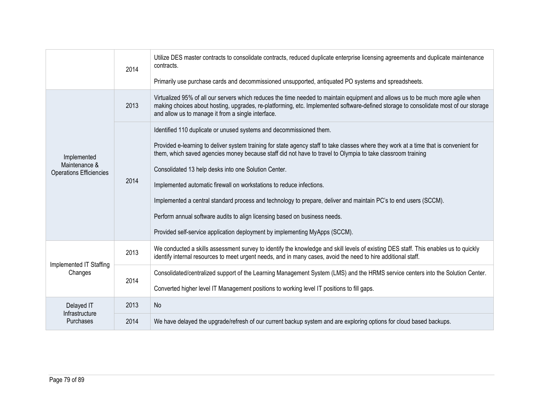|                                                                | 2014 | Utilize DES master contracts to consolidate contracts, reduced duplicate enterprise licensing agreements and duplicate maintenance<br>contracts.<br>Primarily use purchase cards and decommissioned unsupported, antiquated PO systems and spreadsheets.                                                                                                                                                                                                                                                                                                                                                                                                                                                                                      |  |
|----------------------------------------------------------------|------|-----------------------------------------------------------------------------------------------------------------------------------------------------------------------------------------------------------------------------------------------------------------------------------------------------------------------------------------------------------------------------------------------------------------------------------------------------------------------------------------------------------------------------------------------------------------------------------------------------------------------------------------------------------------------------------------------------------------------------------------------|--|
|                                                                | 2013 | Virtualized 95% of all our servers which reduces the time needed to maintain equipment and allows us to be much more agile when<br>making choices about hosting, upgrades, re-platforming, etc. Implemented software-defined storage to consolidate most of our storage<br>and allow us to manage it from a single interface.                                                                                                                                                                                                                                                                                                                                                                                                                 |  |
| Implemented<br>Maintenance &<br><b>Operations Efficiencies</b> | 2014 | Identified 110 duplicate or unused systems and decommissioned them.<br>Provided e-learning to deliver system training for state agency staff to take classes where they work at a time that is convenient for<br>them, which saved agencies money because staff did not have to travel to Olympia to take classroom training<br>Consolidated 13 help desks into one Solution Center.<br>Implemented automatic firewall on workstations to reduce infections.<br>Implemented a central standard process and technology to prepare, deliver and maintain PC's to end users (SCCM).<br>Perform annual software audits to align licensing based on business needs.<br>Provided self-service application deployment by implementing MyApps (SCCM). |  |
| Implemented IT Staffing<br>Changes                             | 2013 | We conducted a skills assessment survey to identify the knowledge and skill levels of existing DES staff. This enables us to quickly<br>identify internal resources to meet urgent needs, and in many cases, avoid the need to hire additional staff.                                                                                                                                                                                                                                                                                                                                                                                                                                                                                         |  |
|                                                                | 2014 | Consolidated/centralized support of the Learning Management System (LMS) and the HRMS service centers into the Solution Center.                                                                                                                                                                                                                                                                                                                                                                                                                                                                                                                                                                                                               |  |
|                                                                |      | Converted higher level IT Management positions to working level IT positions to fill gaps.                                                                                                                                                                                                                                                                                                                                                                                                                                                                                                                                                                                                                                                    |  |
| Delayed IT<br>Infrastructure                                   | 2013 | No                                                                                                                                                                                                                                                                                                                                                                                                                                                                                                                                                                                                                                                                                                                                            |  |
| <b>Purchases</b>                                               | 2014 | We have delayed the upgrade/refresh of our current backup system and are exploring options for cloud based backups.                                                                                                                                                                                                                                                                                                                                                                                                                                                                                                                                                                                                                           |  |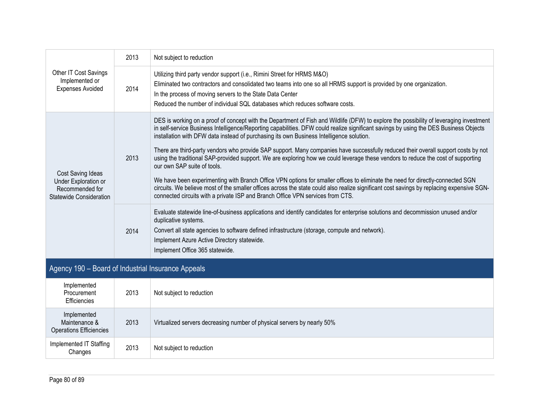| Other IT Cost Savings<br>Implemented or<br><b>Expenses Avoided</b>                             | 2013 | Not subject to reduction                                                                                                                                                                                                                                                                                                                                                                                                                                                                                                                                                                                                                                                                                                                                                                                                                                                                                                                                                                                                                                |
|------------------------------------------------------------------------------------------------|------|---------------------------------------------------------------------------------------------------------------------------------------------------------------------------------------------------------------------------------------------------------------------------------------------------------------------------------------------------------------------------------------------------------------------------------------------------------------------------------------------------------------------------------------------------------------------------------------------------------------------------------------------------------------------------------------------------------------------------------------------------------------------------------------------------------------------------------------------------------------------------------------------------------------------------------------------------------------------------------------------------------------------------------------------------------|
|                                                                                                | 2014 | Utilizing third party vendor support (i.e., Rimini Street for HRMS M&O)<br>Eliminated two contractors and consolidated two teams into one so all HRMS support is provided by one organization.<br>In the process of moving servers to the State Data Center<br>Reduced the number of individual SQL databases which reduces software costs.                                                                                                                                                                                                                                                                                                                                                                                                                                                                                                                                                                                                                                                                                                             |
| Cost Saving Ideas<br>Under Exploration or<br>Recommended for<br><b>Statewide Consideration</b> | 2013 | DES is working on a proof of concept with the Department of Fish and Wildlife (DFW) to explore the possibility of leveraging investment<br>in self-service Business Intelligence/Reporting capabilities. DFW could realize significant savings by using the DES Business Objects<br>installation with DFW data instead of purchasing its own Business Intelligence solution.<br>There are third-party vendors who provide SAP support. Many companies have successfully reduced their overall support costs by not<br>using the traditional SAP-provided support. We are exploring how we could leverage these vendors to reduce the cost of supporting<br>our own SAP suite of tools.<br>We have been experimenting with Branch Office VPN options for smaller offices to eliminate the need for directly-connected SGN<br>circuits. We believe most of the smaller offices across the state could also realize significant cost savings by replacing expensive SGN-<br>connected circuits with a private ISP and Branch Office VPN services from CTS. |
|                                                                                                | 2014 | Evaluate statewide line-of-business applications and identify candidates for enterprise solutions and decommission unused and/or<br>duplicative systems.<br>Convert all state agencies to software defined infrastructure (storage, compute and network).<br>Implement Azure Active Directory statewide.<br>Implement Office 365 statewide.                                                                                                                                                                                                                                                                                                                                                                                                                                                                                                                                                                                                                                                                                                             |
| Agency 190 – Board of Industrial Insurance Appeals                                             |      |                                                                                                                                                                                                                                                                                                                                                                                                                                                                                                                                                                                                                                                                                                                                                                                                                                                                                                                                                                                                                                                         |

| Implemented<br>Procurement<br>Efficiencies                     | 2013 | Not subject to reduction                                                |
|----------------------------------------------------------------|------|-------------------------------------------------------------------------|
| Implemented<br>Maintenance &<br><b>Operations Efficiencies</b> | 2013 | Virtualized servers decreasing number of physical servers by nearly 50% |
| Implemented IT Staffing<br>Changes                             | 2013 | Not subject to reduction                                                |